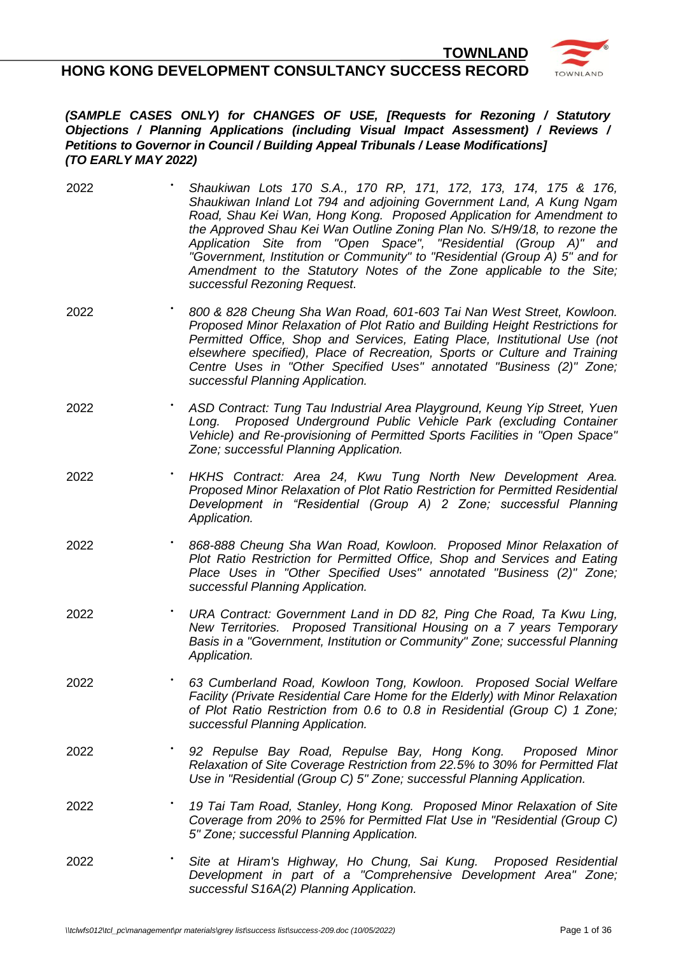**HONG KONG DEVELOPMENT CONSULTANCY SUCCESS RECORD**



**TOWNLAND**

#### *(SAMPLE CASES ONLY) for CHANGES OF USE, [Requests for Rezoning / Statutory Objections / Planning Applications (including Visual Impact Assessment) / Reviews / Petitions to Governor in Council / Building Appeal Tribunals / Lease Modifications] (TO EARLY MAY 2022)*

- 2022 **•** *Shaukiwan Lots 170 S.A., 170 RP, 171, 172, 173, 174, 175 & 176, Shaukiwan Inland Lot 794 and adjoining Government Land, A Kung Ngam Road, Shau Kei Wan, Hong Kong. Proposed Application for Amendment to the Approved Shau Kei Wan Outline Zoning Plan No. S/H9/18, to rezone the Application Site from "Open Space", "Residential (Group A)" and "Government, Institution or Community" to "Residential (Group A) 5" and for Amendment to the Statutory Notes of the Zone applicable to the Site; successful Rezoning Request.*
- 2022 **•** *800 & 828 Cheung Sha Wan Road, 601-603 Tai Nan West Street, Kowloon. Proposed Minor Relaxation of Plot Ratio and Building Height Restrictions for Permitted Office, Shop and Services, Eating Place, Institutional Use (not elsewhere specified), Place of Recreation, Sports or Culture and Training Centre Uses in "Other Specified Uses" annotated "Business (2)" Zone; successful Planning Application.*
- 2022 **•** *ASD Contract: Tung Tau Industrial Area Playground, Keung Yip Street, Yuen Long. Proposed Underground Public Vehicle Park (excluding Container Vehicle) and Re-provisioning of Permitted Sports Facilities in "Open Space" Zone; successful Planning Application.*
- 2022 **•** *HKHS Contract: Area 24, Kwu Tung North New Development Area. Proposed Minor Relaxation of Plot Ratio Restriction for Permitted Residential Development in "Residential (Group A) 2 Zone; successful Planning Application.*
- 2022 **•** *868-888 Cheung Sha Wan Road, Kowloon. Proposed Minor Relaxation of Plot Ratio Restriction for Permitted Office, Shop and Services and Eating Place Uses in "Other Specified Uses" annotated "Business (2)" Zone; successful Planning Application.*
- 2022 **•** *URA Contract: Government Land in DD 82, Ping Che Road, Ta Kwu Ling, New Territories. Proposed Transitional Housing on a 7 years Temporary Basis in a "Government, Institution or Community" Zone; successful Planning Application.*
- 2022 **•** *63 Cumberland Road, Kowloon Tong, Kowloon. Proposed Social Welfare Facility (Private Residential Care Home for the Elderly) with Minor Relaxation of Plot Ratio Restriction from 0.6 to 0.8 in Residential (Group C) 1 Zone; successful Planning Application.*
- 2022 **•** *92 Repulse Bay Road, Repulse Bay, Hong Kong. Proposed Minor Relaxation of Site Coverage Restriction from 22.5% to 30% for Permitted Flat Use in "Residential (Group C) 5" Zone; successful Planning Application.*
- 2022 **••** *19 Tai Tam Road, Stanley, Hong Kong. Proposed Minor Relaxation of Site Coverage from 20% to 25% for Permitted Flat Use in "Residential (Group C) 5" Zone; successful Planning Application.*
- 2022 **•** *Site at Hiram's Highway, Ho Chung, Sai Kung. Proposed Residential Development in part of a "Comprehensive Development Area" Zone; successful S16A(2) Planning Application.*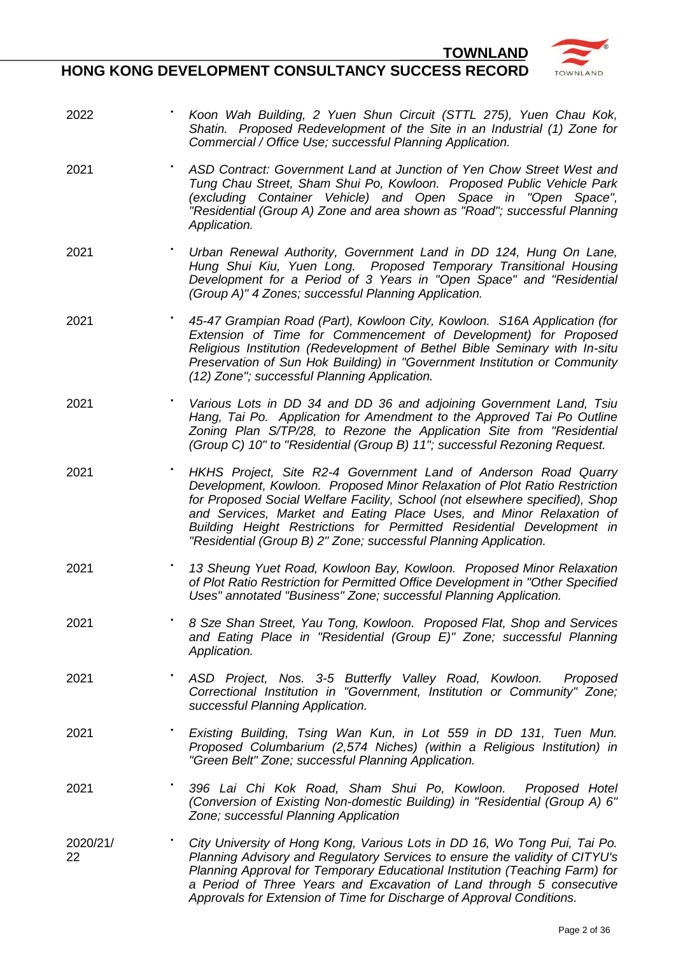- 2022 **•** *Koon Wah Building, 2 Yuen Shun Circuit (STTL 275), Yuen Chau Kok, Shatin. Proposed Redevelopment of the Site in an Industrial (1) Zone for Commercial / Office Use; successful Planning Application.*
- 2021 **•** *ASD Contract: Government Land at Junction of Yen Chow Street West and Tung Chau Street, Sham Shui Po, Kowloon. Proposed Public Vehicle Park (excluding Container Vehicle) and Open Space in "Open Space", "Residential (Group A) Zone and area shown as "Road"; successful Planning Application.*
- 2021 **•** *Urban Renewal Authority, Government Land in DD 124, Hung On Lane, Hung Shui Kiu, Yuen Long. Proposed Temporary Transitional Housing Development for a Period of 3 Years in "Open Space" and "Residential (Group A)" 4 Zones; successful Planning Application.*
- 2021 GRKT **•** *45-47 Grampian Road (Part), Kowloon City, Kowloon. S16A Application (for Extension of Time for Commencement of Development) for Proposed Religious Institution (Redevelopment of Bethel Bible Seminary with In-situ Preservation of Sun Hok Building) in "Government Institution or Community (12) Zone"; successful Planning Application.*
- 2021 **••** *Various Lots in DD 34 and DD 36 and adjoining Government Land, Tsiu**ind 2021 Hang, Tai Po. Application for Amendment to the Approved Tai Po Outline Zoning Plan S/TP/28, to Rezone the Application Site from "Residential (Group C) 10" to "Residential (Group B) 11"; successful Rezoning Request.*
- 2021 **•** *HKHS Project, Site R2-4 Government Land of Anderson Road Quarry Development, Kowloon. Proposed Minor Relaxation of Plot Ratio Restriction for Proposed Social Welfare Facility, School (not elsewhere specified), Shop and Services, Market and Eating Place Uses, and Minor Relaxation of Building Height Restrictions for Permitted Residential Development in "Residential (Group B) 2" Zone; successful Planning Application.*
- 2021 **•** *13 Sheung Yuet Road, Kowloon Bay, Kowloon. Proposed Minor Relaxation of Plot Ratio Restriction for Permitted Office Development in "Other Specified Uses" annotated "Business" Zone; successful Planning Application.*
- 2021 **•** *8 Sze Shan Street, Yau Tong, Kowloon. Proposed Flat, Shop and Services and Eating Place in "Residential (Group E)" Zone; successful Planning Application.*
- 2021 **•** *ASD Project, Nos. 3-5 Butterfly Valley Road, Kowloon. Proposed Correctional Institution in "Government, Institution or Community" Zone; successful Planning Application.*
- 2021 **•** *Existing Building, Tsing Wan Kun, in Lot 559 in DD 131, Tuen Mun. Proposed Columbarium (2,574 Niches) (within a Religious Institution) in "Green Belt" Zone; successful Planning Application.*
- 2021 **•** *396 Lai Chi Kok Road, Sham Shui Po, Kowloon. Proposed Hotel (Conversion of Existing Non-domestic Building) in "Residential (Group A) 6" Zone; successful Planning Application*
- 2020/21/ 22 **•** *City University of Hong Kong, Various Lots in DD 16, Wo Tong Pui, Tai Po. Planning Advisory and Regulatory Services to ensure the validity of CITYU's Planning Approval for Temporary Educational Institution (Teaching Farm) for a Period of Three Years and Excavation of Land through 5 consecutive Approvals for Extension of Time for Discharge of Approval Conditions.*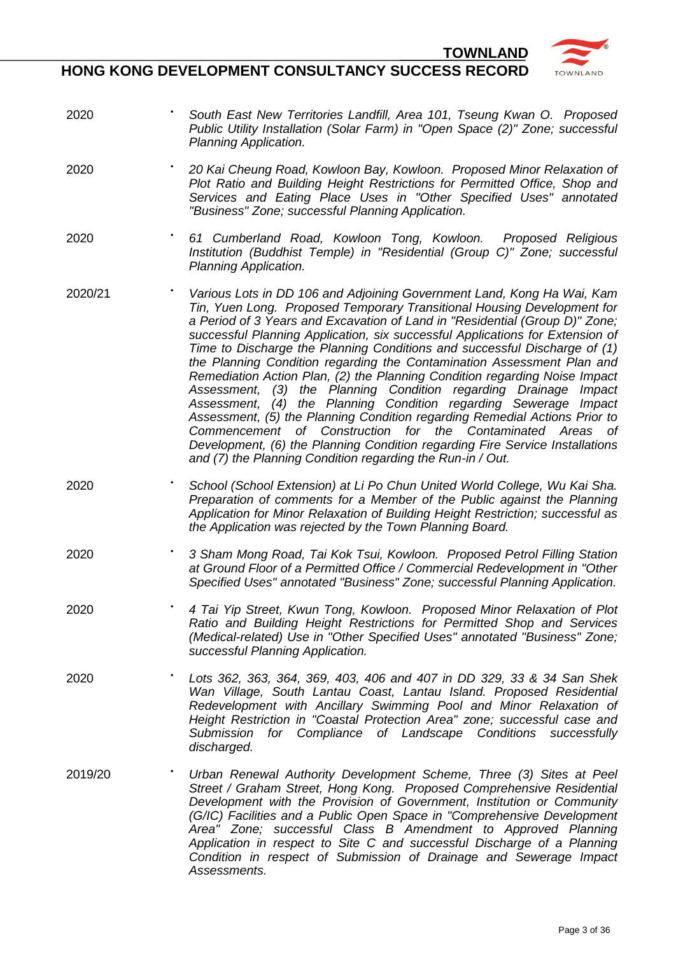- 2020 GVSF **•** *South East New Territories Landfill, Area 101, Tseung Kwan O. Proposed Public Utility Installation (Solar Farm) in "Open Space (2)" Zone; successful Planning Application.*
- 2020 KBKCR **•** *20 Kai Cheung Road, Kowloon Bay, Kowloon. Proposed Minor Relaxation of Plot Ratio and Building Height Restrictions for Permitted Office, Shop and Services and Eating Place Uses in "Other Specified Uses" annotated "Business" Zone; successful Planning Application.*
- 2020 **•** *61 Cumberland Road, Kowloon Tong, Kowloon. Proposed Religious Institution (Buddhist Temple) in "Residential (Group C)" Zone; successful Planning Application.*
- 2020/21 **•** *Various Lots in DD 106 and Adjoining Government Land, Kong Ha Wai, Kam Tin, Yuen Long. Proposed Temporary Transitional Housing Development for a Period of 3 Years and Excavation of Land in "Residential (Group D)" Zone; successful Planning Application, six successful Applications for Extension of Time to Discharge the Planning Conditions and successful Discharge of (1) the Planning Condition regarding the Contamination Assessment Plan and Remediation Action Plan, (2) the Planning Condition regarding Noise Impact Assessment, (3) the Planning Condition regarding Drainage Impact Assessment, (4) the Planning Condition regarding Sewerage Impact Assessment, (5) the Planning Condition regarding Remedial Actions Prior to*  Commencement of Construction for the *Development, (6) the Planning Condition regarding Fire Service Installations and (7) the Planning Condition regarding the Run-in / Out.*
- 2020 **•** *School (School Extension) at Li Po Chun United World College, Wu Kai Sha. Preparation of comments for a Member of the Public against the Planning Application for Minor Relaxation of Building Height Restriction; successful as the Application was rejected by the Town Planning Board.*
- $2020$ **•** *3 Sham Mong Road, Tai Kok Tsui, Kowloon. Proposed Petrol Filling Station at Ground Floor of a Permitted Office / Commercial Redevelopment in "Other Specified Uses" annotated "Business" Zone; successful Planning Application.*
- 2020 **••** *4 Tai Yip Street, Kwun Tong, Kowloon. Proposed Minor Relaxation of Plot Ratio and Building Height Restrictions for Permitted Shop and Services (Medical-related) Use in "Other Specified Uses" annotated "Business" Zone; successful Planning Application.*
- 2020 **•** *Lots 362, 363, 364, 369, 403, 406 and 407 in DD 329, 33 & 34 San Shek Wan Village, South Lantau Coast, Lantau Island. Proposed Residential Redevelopment with Ancillary Swimming Pool and Minor Relaxation of Height Restriction in "Coastal Protection Area" zone; successful case and Submission for Compliance of Landscape Conditions successfully discharged.*
- 2019/20 GSGS **•** *Urban Renewal Authority Development Scheme, Three (3) Sites at Peel Street / Graham Street, Hong Kong. Proposed Comprehensive Residential Development with the Provision of Government, Institution or Community (G/IC) Facilities and a Public Open Space in "Comprehensive Development Area" Zone; successful Class B Amendment to Approved Planning Application in respect to Site C and successful Discharge of a Planning Condition in respect of Submission of Drainage and Sewerage Impact Assessments.*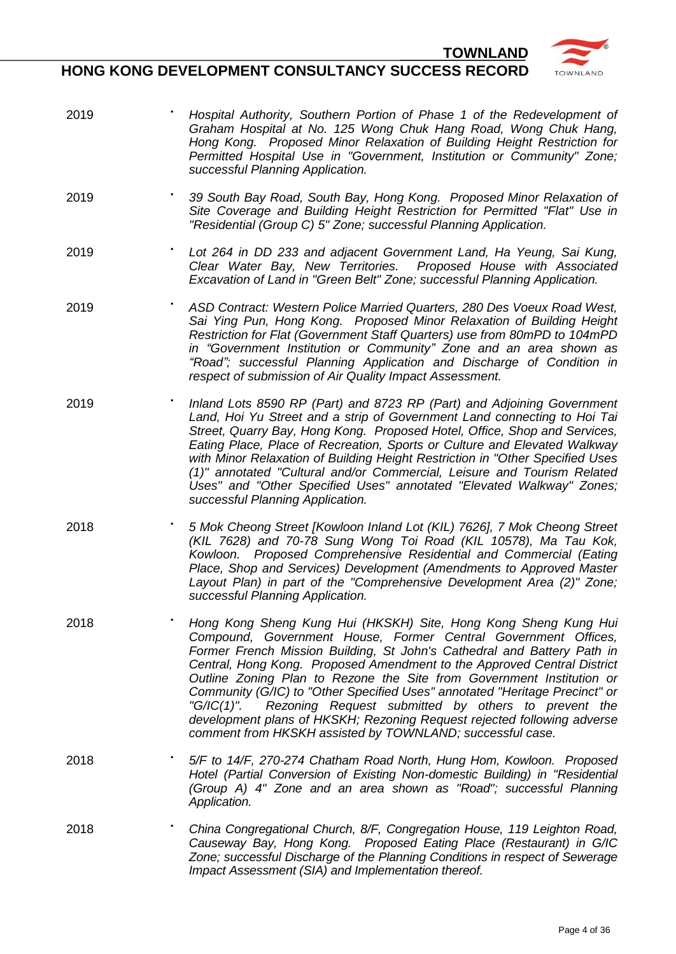

- 
- 2019 **••** *Hospital Authority, Southern Portion of Phase 1 of the Redevelopment of Graham Hospital at No. 125 Wong Chuk Hang Road, Wong Chuk Hang, Hong Kong. Proposed Minor Relaxation of Building Height Restriction for Permitted Hospital Use in "Government, Institution or Community" Zone; successful Planning Application.*
- 2019 SBRHK **•** *39 South Bay Road, South Bay, Hong Kong. Proposed Minor Relaxation of Site Coverage and Building Height Restriction for Permitted "Flat" Use in "Residential (Group C) 5" Zone; successful Planning Application.*
- 2019 **••** *Lot 264 in DD 233 and adjacent Government Land, Ha Yeung, Sai Kung,**Particle 233 and adjacent Government Land, Ha Yeung, Sai Kung, Clear Water Bay, New Territories. Proposed House with Associated Excavation of Land in "Green Belt" Zone; successful Planning Application.*
- 2019 **•** *ASD Contract: Western Police Married Quarters, 280 Des Voeux Road West, Sai Ying Pun, Hong Kong. Proposed Minor Relaxation of Building Height Restriction for Flat (Government Staff Quarters) use from 80mPD to 104mPD in "Government Institution or Community" Zone and an area shown as "Road"; successful Planning Application and Discharge of Condition in respect of submission of Air Quality Impact Assessment.*
- 2019 QBW **•** *Inland Lots 8590 RP (Part) and 8723 RP (Part) and Adjoining Government Land, Hoi Yu Street and a strip of Government Land connecting to Hoi Tai Street, Quarry Bay, Hong Kong. Proposed Hotel, Office, Shop and Services, Eating Place, Place of Recreation, Sports or Culture and Elevated Walkway with Minor Relaxation of Building Height Restriction in "Other Specified Uses (1)" annotated "Cultural and/or Commercial, Leisure and Tourism Related Uses" and "Other Specified Uses" annotated "Elevated Walkway" Zones; successful Planning Application.*
- 2018 **•** *5 Mok Cheong Street [Kowloon Inland Lot (KIL) 7626], 7 Mok Cheong Street (KIL 7628) and 70-78 Sung Wong Toi Road (KIL 10578), Ma Tau Kok, Kowloon. Proposed Comprehensive Residential and Commercial (Eating Place, Shop and Services) Development (Amendments to Approved Master Layout Plan) in part of the "Comprehensive Development Area (2)" Zone; successful Planning Application.*
- 2018 **•** *Hong Kong Sheng Kung Hui (HKSKH) Site, Hong Kong Sheng Kung Hui Compound, Government House, Former Central Government Offices, Former French Mission Building, St John's Cathedral and Battery Path in Central, Hong Kong. Proposed Amendment to the Approved Central District Outline Zoning Plan to Rezone the Site from Government Institution or Community (G/IC) to "Other Specified Uses" annotated "Heritage Precinct" or "G/IC(1)". Rezoning Request submitted by others to prevent the development plans of HKSKH; Rezoning Request rejected following adverse comment from HKSKH assisted by TOWNLAND; successful case.*
- 2018 5/F to 14/F, 270-274 Chatham Road North, Hung Hom, Kowloon. Proposed *Hotel (Partial Conversion of Existing Non-domestic Building) in "Residential (Group A) 4" Zone and an area shown as "Road"; successful Planning Application.*
- 2018 **•** *China Congregational Church, 8/F, Congregation House, 119 Leighton Road, Causeway Bay, Hong Kong. Proposed Eating Place (Restaurant) in G/IC Zone; successful Discharge of the Planning Conditions in respect of Sewerage Impact Assessment (SIA) and Implementation thereof.*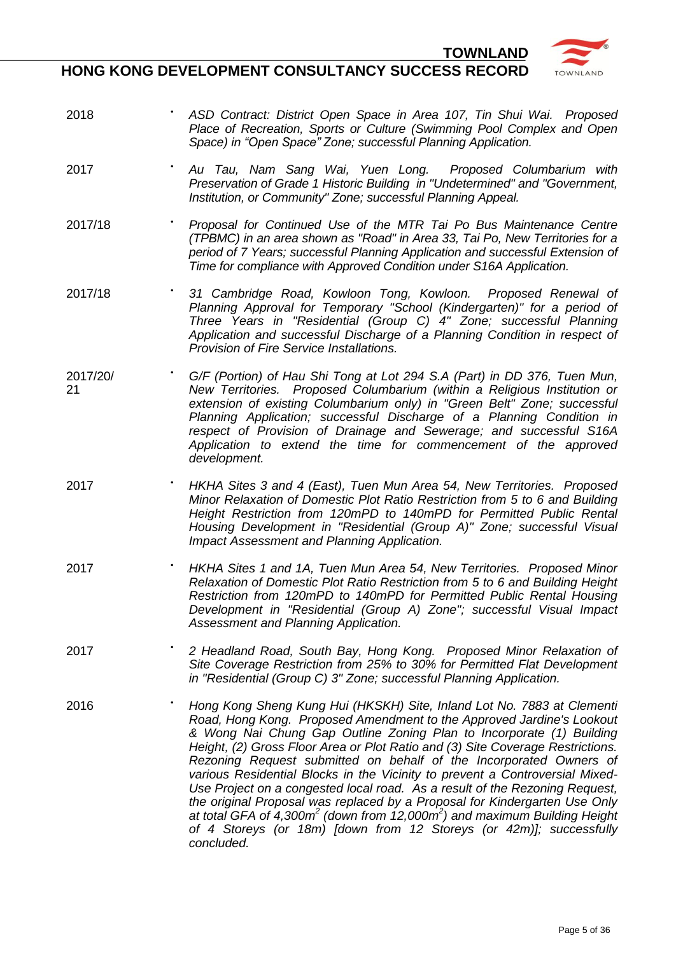

- 2018 **•** *ASD Contract: District Open Space in Area 107, Tin Shui Wai. Proposed Place of Recreation, Sports or Culture (Swimming Pool Complex and Open Space) in "Open Space" Zone; successful Planning Application.*
- 2017 ATNSW **•** *Au Tau, Nam Sang Wai, Yuen Long. Proposed Columbarium with Preservation of Grade 1 Historic Building in "Undetermined" and "Government, Institution, or Community" Zone; successful Planning Appeal.*
- 2017/18 **•** *Proposal for Continued Use of the MTR Tai Po Bus Maintenance Centre (TPBMC) in an area shown as "Road" in Area 33, Tai Po, New Territories for a period of 7 Years; successful Planning Application and successful Extension of Time for compliance with Approved Condition under S16A Application.*
- 2017/18 31 Cambridge Road, Kowloon Tong, Kowloon. Proposed Renewal of *Planning Approval for Temporary "School (Kindergarten)" for a period of Three Years in "Residential (Group C) 4" Zone; successful Planning Application and successful Discharge of a Planning Condition in respect of Provision of Fire Service Installations.*
- 2017/20/ 21 **•** *G/F (Portion) of Hau Shi Tong at Lot 294 S.A (Part) in DD 376, Tuen Mun, New Territories. Proposed Columbarium (within a Religious Institution or extension of existing Columbarium only) in "Green Belt" Zone; successful Planning Application; successful Discharge of a Planning Condition in respect of Provision of Drainage and Sewerage; and successful S16A Application to extend the time for commencement of the approved development.*
- 2017 **•** *HKHA Sites 3 and 4 (East), Tuen Mun Area 54, New Territories. Proposed Minor Relaxation of Domestic Plot Ratio Restriction from 5 to 6 and Building Height Restriction from 120mPD to 140mPD for Permitted Public Rental Housing Development in "Residential (Group A)" Zone; successful Visual Impact Assessment and Planning Application.*
- 2017 **•** *HKHA Sites 1 and 1A, Tuen Mun Area 54, New Territories. Proposed Minor Relaxation of Domestic Plot Ratio Restriction from 5 to 6 and Building Height Restriction from 120mPD to 140mPD for Permitted Public Rental Housing Development in "Residential (Group A) Zone"; successful Visual Impact Assessment and Planning Application.*
- 2017 HRS **•** *2 Headland Road, South Bay, Hong Kong. Proposed Minor Relaxation of Site Coverage Restriction from 25% to 30% for Permitted Flat Development in "Residential (Group C) 3" Zone; successful Planning Application.*
- 2016 BRJL/2 **•** *Hong Kong Sheng Kung Hui (HKSKH) Site, Inland Lot No. 7883 at Clementi Road, Hong Kong. Proposed Amendment to the Approved Jardine's Lookout & Wong Nai Chung Gap Outline Zoning Plan to Incorporate (1) Building Height, (2) Gross Floor Area or Plot Ratio and (3) Site Coverage Restrictions. Rezoning Request submitted on behalf of the Incorporated Owners of various Residential Blocks in the Vicinity to prevent a Controversial Mixed-Use Project on a congested local road. As a result of the Rezoning Request, the original Proposal was replaced by a Proposal for Kindergarten Use Only at total GFA of 4,300m<sup>2</sup> (down from 12,000m<sup>2</sup> ) and maximum Building Height of 4 Storeys (or 18m) [down from 12 Storeys (or 42m)]; successfully concluded.*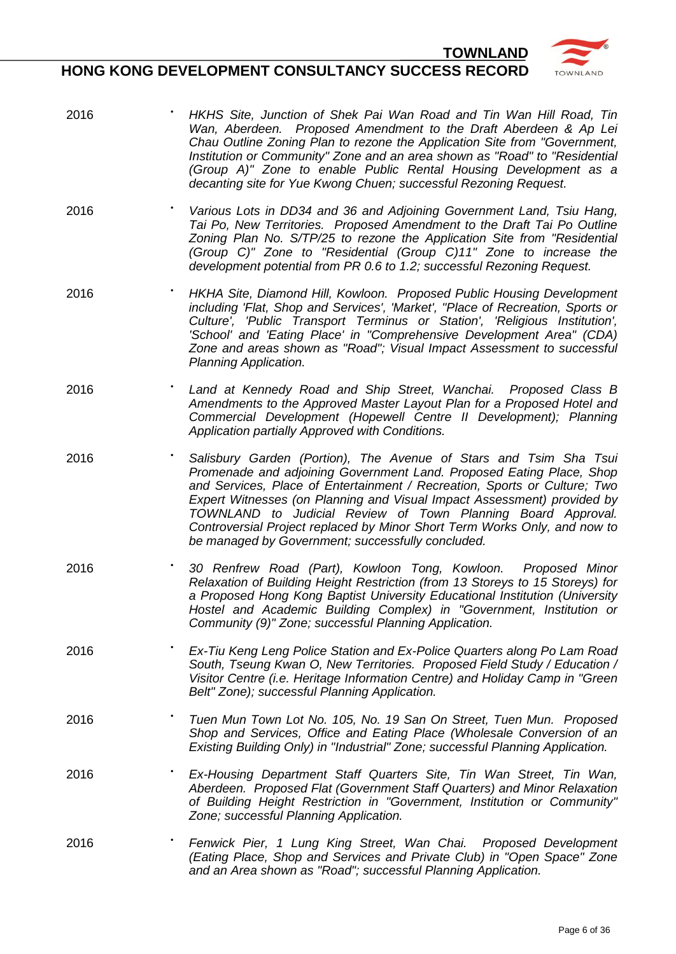

- 2016 **•** *HKHS Site, Junction of Shek Pai Wan Road and Tin Wan Hill Road, Tin Wan, Aberdeen. Proposed Amendment to the Draft Aberdeen & Ap Lei Chau Outline Zoning Plan to rezone the Application Site from "Government, Institution or Community" Zone and an area shown as "Road" to "Residential (Group A)" Zone to enable Public Rental Housing Development as a decanting site for Yue Kwong Chuen; successful Rezoning Request.*
- 2016 *Various Lots in DD34 and 36 and Adjoining Government Land, Tsiu Hang,**Publishing Covernment Land, Tsiu Hang, Tai Po, New Territories. Proposed Amendment to the Draft Tai Po Outline Zoning Plan No. S/TP/25 to rezone the Application Site from "Residential (Group C)" Zone to "Residential (Group C)11" Zone to increase the development potential from PR 0.6 to 1.2; successful Rezoning Request.*
- 2016 **•** *HKHA Site, Diamond Hill, Kowloon. Proposed Public Housing Development including 'Flat, Shop and Services', 'Market', "Place of Recreation, Sports or Culture', 'Public Transport Terminus or Station', 'Religious Institution', 'School' and 'Eating Place' in "Comprehensive Development Area" (CDA) Zone and areas shown as "Road"; Visual Impact Assessment to successful Planning Application.*
- 2016 **Land at Kennedy Road and Ship Street, Wanchai.** Proposed Class B *Amendments to the Approved Master Layout Plan for a Proposed Hotel and Commercial Development (Hopewell Centre II Development); Planning Application partially Approved with Conditions.*
- 2016 **•** *Salisbury Garden (Portion), The Avenue of Stars and Tsim Sha Tsui Promenade and adjoining Government Land. Proposed Eating Place, Shop and Services, Place of Entertainment / Recreation, Sports or Culture; Two Expert Witnesses (on Planning and Visual Impact Assessment) provided by TOWNLAND to Judicial Review of Town Planning Board Approval. Controversial Project replaced by Minor Short Term Works Only, and now to be managed by Government; successfully concluded.*
- 2016 **•** *30 Renfrew Road (Part), Kowloon Tong, Kowloon. Proposed Minor Relaxation of Building Height Restriction (from 13 Storeys to 15 Storeys) for a Proposed Hong Kong Baptist University Educational Institution (University Hostel and Academic Building Complex) in "Government, Institution or Community (9)" Zone; successful Planning Application.*
- 2016 **•** *Ex-Tiu Keng Leng Police Station and Ex-Police Quarters along Po Lam Road South, Tseung Kwan O, New Territories. Proposed Field Study / Education / Visitor Centre (i.e. Heritage Information Centre) and Holiday Camp in "Green Belt" Zone); successful Planning Application.*
- 2016 **•** *Tuen Mun Town Lot No. 105, No. 19 San On Street, Tuen Mun. Proposed Shop and Services, Office and Eating Place (Wholesale Conversion of an Existing Building Only) in "Industrial" Zone; successful Planning Application.*
- 2016 **•** *Ex-Housing Department Staff Quarters Site, Tin Wan Street, Tin Wan, Aberdeen. Proposed Flat (Government Staff Quarters) and Minor Relaxation of Building Height Restriction in "Government, Institution or Community" Zone; successful Planning Application.*
- 2016 **Fenwick Pier, 1 Lung King Street, Wan Chai.** Proposed Development *(Eating Place, Shop and Services and Private Club) in "Open Space" Zone and an Area shown as "Road"; successful Planning Application.*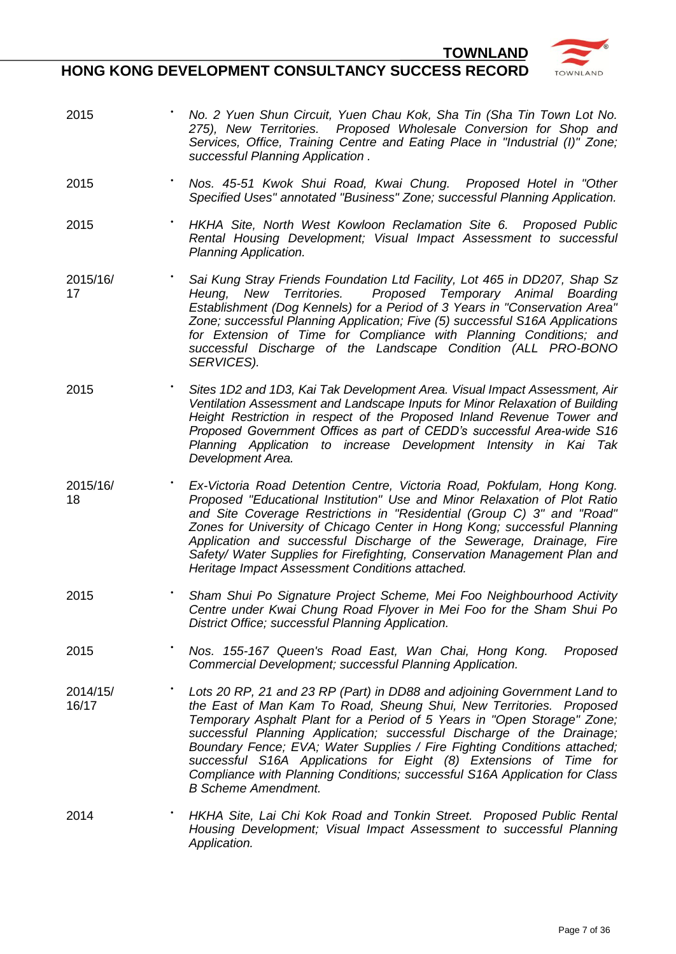

- 2015 **•** *No. 2 Yuen Shun Circuit, Yuen Chau Kok, Sha Tin (Sha Tin Town Lot No. 275), New Territories. Proposed Wholesale Conversion for Shop and Services, Office, Training Centre and Eating Place in "Industrial (I)" Zone; successful Planning Application .*
- 2015 **•** *Nos. 45-51 Kwok Shui Road, Kwai Chung. Proposed Hotel in "Other Specified Uses" annotated "Business" Zone; successful Planning Application.*
- 2015 **•** *HKHA Site, North West Kowloon Reclamation Site 6. Proposed Public Rental Housing Development; Visual Impact Assessment to successful Planning Application.*
- 2015/16/ 17 **•** *Sai Kung Stray Friends Foundation Ltd Facility, Lot 465 in DD207, Shap Sz Heung, New Territories. Proposed Temporary Animal Boarding Establishment (Dog Kennels) for a Period of 3 Years in "Conservation Area" Zone; successful Planning Application; Five (5) successful S16A Applications for Extension of Time for Compliance with Planning Conditions; and successful Discharge of the Landscape Condition (ALL PRO-BONO SERVICES).*
- 2015 **•** *Sites 1D2 and 1D3, Kai Tak Development Area. Visual Impact Assessment, Air Ventilation Assessment and Landscape Inputs for Minor Relaxation of Building Height Restriction in respect of the Proposed Inland Revenue Tower and Proposed Government Offices as part of CEDD's successful Area-wide S16 Planning Application to increase Development Intensity in Kai Tak Development Area.*
- 2015/16/ 18 **•** *Ex-Victoria Road Detention Centre, Victoria Road, Pokfulam, Hong Kong. Proposed "Educational Institution" Use and Minor Relaxation of Plot Ratio and Site Coverage Restrictions in "Residential (Group C) 3" and "Road" Zones for University of Chicago Center in Hong Kong; successful Planning Application and successful Discharge of the Sewerage, Drainage, Fire Safety/ Water Supplies for Firefighting, Conservation Management Plan and Heritage Impact Assessment Conditions attached.*
- 2015 **•** *Sham Shui Po Signature Project Scheme, Mei Foo Neighbourhood Activity Centre under Kwai Chung Road Flyover in Mei Foo for the Sham Shui Po District Office; successful Planning Application.*
- 2015 KRSS/7 **•** *Nos. 155-167 Queen's Road East, Wan Chai, Hong Kong. Proposed Commercial Development; successful Planning Application.*
- 2014/15/ 16/17 Lots 20 RP, 21 and 23 RP (Part) in DD88 and adjoining Government Land to *the East of Man Kam To Road, Sheung Shui, New Territories. Proposed Temporary Asphalt Plant for a Period of 5 Years in "Open Storage" Zone; successful Planning Application; successful Discharge of the Drainage; Boundary Fence; EVA; Water Supplies / Fire Fighting Conditions attached; successful S16A Applications for Eight (8) Extensions of Time for Compliance with Planning Conditions; successful S16A Application for Class B Scheme Amendment.*
- 2014 **•** *HKHA Site, Lai Chi Kok Road and Tonkin Street. Proposed Public Rental Housing Development; Visual Impact Assessment to successful Planning Application.*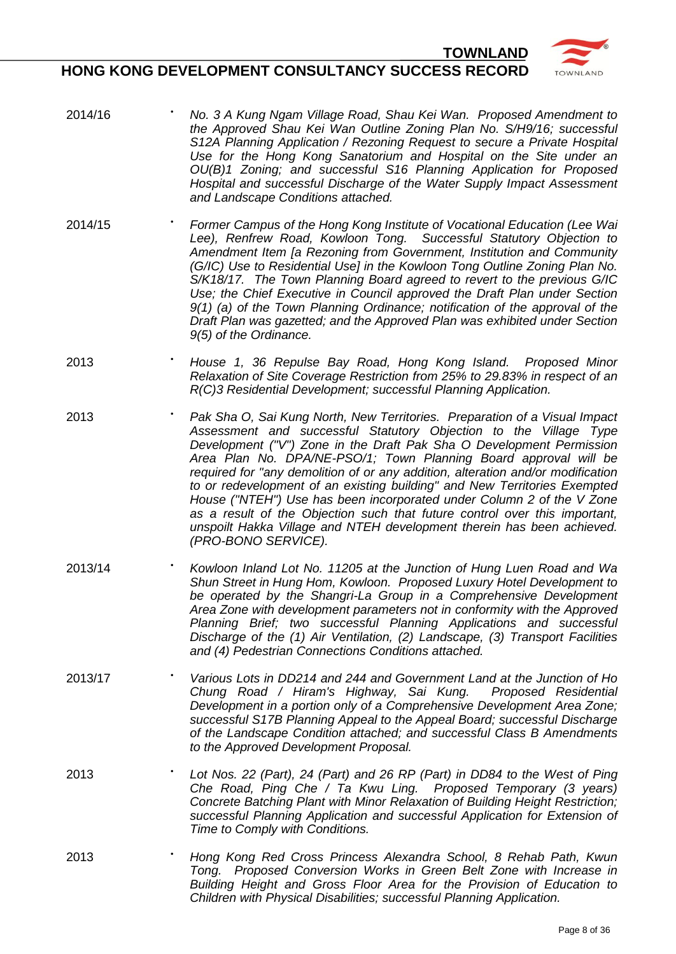

- $2014/16$ **•** *No. 3 A Kung Ngam Village Road, Shau Kei Wan. Proposed Amendment to the Approved Shau Kei Wan Outline Zoning Plan No. S/H9/16; successful S12A Planning Application / Rezoning Request to secure a Private Hospital Use for the Hong Kong Sanatorium and Hospital on the Site under an OU(B)1 Zoning; and successful S16 Planning Application for Proposed Hospital and successful Discharge of the Water Supply Impact Assessment and Landscape Conditions attached.*
- 2014/15 **•** *Former Campus of the Hong Kong Institute of Vocational Education (Lee Wai Lee), Renfrew Road, Kowloon Tong. Successful Statutory Objection to Amendment Item [a Rezoning from Government, Institution and Community (G/IC) Use to Residential Use] in the Kowloon Tong Outline Zoning Plan No. S/K18/17. The Town Planning Board agreed to revert to the previous G/IC Use; the Chief Executive in Council approved the Draft Plan under Section 9(1) (a) of the Town Planning Ordinance; notification of the approval of the Draft Plan was gazetted; and the Approved Plan was exhibited under Section 9(5) of the Ordinance.*
- 2013 **•** *House 1, 36 Repulse Bay Road, Hong Kong Island. Proposed Minor Relaxation of Site Coverage Restriction from 25% to 29.83% in respect of an R(C)3 Residential Development; successful Planning Application.*
- 2013 **•** *Pak Sha O, Sai Kung North, New Territories. Preparation of a Visual Impact Assessment and successful Statutory Objection to the Village Type Development ("V") Zone in the Draft Pak Sha O Development Permission Area Plan No. DPA/NE-PSO/1; Town Planning Board approval will be required for "any demolition of or any addition, alteration and/or modification to or redevelopment of an existing building" and New Territories Exempted House ("NTEH") Use has been incorporated under Column 2 of the V Zone as a result of the Objection such that future control over this important, unspoilt Hakka Village and NTEH development therein has been achieved. (PRO-BONO SERVICE).*
- 2013/14 **•** *Kowloon Inland Lot No. 11205 at the Junction of Hung Luen Road and Wa Shun Street in Hung Hom, Kowloon. Proposed Luxury Hotel Development to be operated by the Shangri-La Group in a Comprehensive Development Area Zone with development parameters not in conformity with the Approved Planning Brief; two successful Planning Applications and successful Discharge of the (1) Air Ventilation, (2) Landscape, (3) Transport Facilities and (4) Pedestrian Connections Conditions attached.*
- 2013/17 **••** *Various Lots in DD214 and 244 and Government Land at the Junction of Ho**Punction of Ho* **<b>***Punction of Ho and 244 and Government Land at the Junction of Ho Chung Road / Hiram's Highway, Sai Kung. Proposed Residential Development in a portion only of a Comprehensive Development Area Zone; successful S17B Planning Appeal to the Appeal Board; successful Discharge of the Landscape Condition attached; and successful Class B Amendments to the Approved Development Proposal.*
- 2013 **•** *Lot Nos. 22 (Part), 24 (Part) and 26 RP (Part) in DD84 to the West of Ping Che Road, Ping Che / Ta Kwu Ling. Proposed Temporary (3 years) Concrete Batching Plant with Minor Relaxation of Building Height Restriction; successful Planning Application and successful Application for Extension of Time to Comply with Conditions.*
- 2013 **•** *Hong Kong Red Cross Princess Alexandra School, 8 Rehab Path, Kwun Tong. Proposed Conversion Works in Green Belt Zone with Increase in Building Height and Gross Floor Area for the Provision of Education to Children with Physical Disabilities; successful Planning Application.*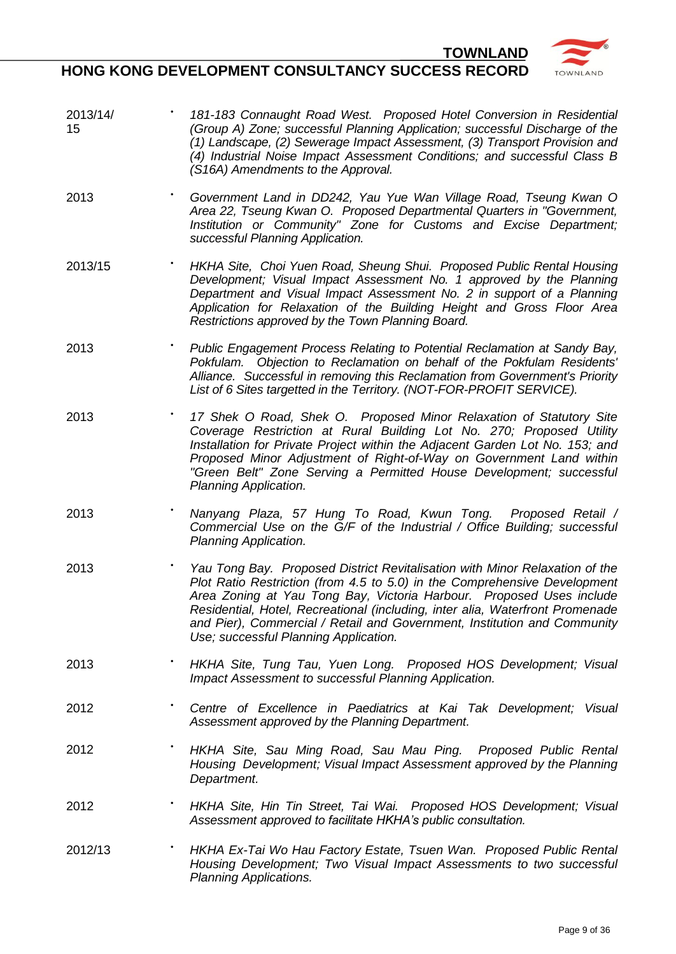

- 2013/14/ 15 **•** *181-183 Connaught Road West. Proposed Hotel Conversion in Residential (Group A) Zone; successful Planning Application; successful Discharge of the (1) Landscape, (2) Sewerage Impact Assessment, (3) Transport Provision and (4) Industrial Noise Impact Assessment Conditions; and successful Class B (S16A) Amendments to the Approval.*
- 2013 **•** *Government Land in DD242, Yau Yue Wan Village Road, Tseung Kwan O Area 22, Tseung Kwan O. Proposed Departmental Quarters in "Government, Institution or Community" Zone for Customs and Excise Department; successful Planning Application.*
- 2013/15 **•** *HKHA Site, Choi Yuen Road, Sheung Shui. Proposed Public Rental Housing Development; Visual Impact Assessment No. 1 approved by the Planning Department and Visual Impact Assessment No. 2 in support of a Planning Application for Relaxation of the Building Height and Gross Floor Area Restrictions approved by the Town Planning Board.*
- 2013 **•• Public Engagement Process Relating to Potential Reclamation at Sandy Bay,** *Pokfulam. Objection to Reclamation on behalf of the Pokfulam Residents' Alliance. Successful in removing this Reclamation from Government's Priority List of 6 Sites targetted in the Territory. (NOT-FOR-PROFIT SERVICE).*
- 2013 **•• •• ••** *17 Shek O Road, Shek O. Proposed Minor Relaxation of Statutory Site Coverage Restriction at Rural Building Lot No. 270; Proposed Utility Installation for Private Project within the Adjacent Garden Lot No. 153; and Proposed Minor Adjustment of Right-of-Way on Government Land within "Green Belt" Zone Serving a Permitted House Development; successful Planning Application.*
- 2013 **•** *Nanyang Plaza, 57 Hung To Road, Kwun Tong. Proposed Retail / Commercial Use on the G/F of the Industrial / Office Building; successful Planning Application.*
- 2013 **••** *Yau Tong Bay. Proposed District Revitalisation with Minor Relaxation of the* $\blacksquare$ *Plot Ratio Restriction (from 4.5 to 5.0) in the Comprehensive Development Area Zoning at Yau Tong Bay, Victoria Harbour. Proposed Uses include Residential, Hotel, Recreational (including, inter alia, Waterfront Promenade and Pier), Commercial / Retail and Government, Institution and Community Use; successful Planning Application.*
- 2013 **•** *HKHA Site, Tung Tau, Yuen Long. Proposed HOS Development; Visual Impact Assessment to successful Planning Application.*
- 2012 **•** *Centre of Excellence in Paediatrics at Kai Tak Development; Visual Assessment approved by the Planning Department.*
- 2012 **•** *HKHA Site, Sau Ming Road, Sau Mau Ping. Proposed Public Rental Housing Development; Visual Impact Assessment approved by the Planning Department.*
- 2012 **•** *HKHA Site, Hin Tin Street, Tai Wai. Proposed HOS Development; Visual Assessment approved to facilitate HKHA's public consultation.*
- 2012/13 **•** *HKHA Ex-Tai Wo Hau Factory Estate, Tsuen Wan. Proposed Public Rental Housing Development; Two Visual Impact Assessments to two successful Planning Applications.*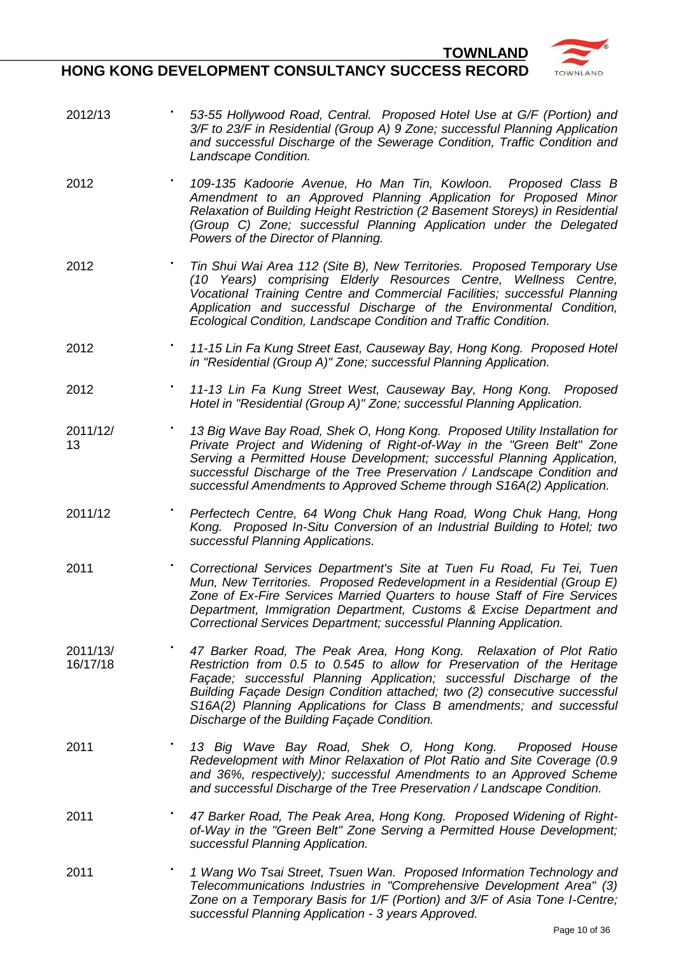

- 2012/13 53-55 Hollywood Road, Central. Proposed Hotel Use at G/F (Portion) and *3/F to 23/F in Residential (Group A) 9 Zone; successful Planning Application and successful Discharge of the Sewerage Condition, Traffic Condition and Landscape Condition.*
- 2012 KAHMT **•** *109-135 Kadoorie Avenue, Ho Man Tin, Kowloon. Proposed Class B Amendment to an Approved Planning Application for Proposed Minor Relaxation of Building Height Restriction (2 Basement Storeys) in Residential (Group C) Zone; successful Planning Application under the Delegated Powers of the Director of Planning.*
- 2012 **•** *Tin Shui Wai Area 112 (Site B), New Territories. Proposed Temporary Use (10 Years) comprising Elderly Resources Centre, Wellness Centre, Vocational Training Centre and Commercial Facilities; successful Planning Application and successful Discharge of the Environmental Condition, Ecological Condition, Landscape Condition and Traffic Condition.*
- 2012 **•** *11-15 Lin Fa Kung Street East, Causeway Bay, Hong Kong. Proposed Hotel in "Residential (Group A)" Zone; successful Planning Application.*
- 2012 **•** *11-13 Lin Fa Kung Street West, Causeway Bay, Hong Kong. Proposed Hotel in "Residential (Group A)" Zone; successful Planning Application.*
- 2011/12/ 13 13 Big Wave Bay Road, Shek O, Hong Kong. Proposed Utility Installation for *Private Project and Widening of Right-of-Way in the "Green Belt" Zone Serving a Permitted House Development; successful Planning Application, successful Discharge of the Tree Preservation / Landscape Condition and successful Amendments to Approved Scheme through S16A(2) Application.*
- $2011/12$ **•** *Perfectech Centre, 64 Wong Chuk Hang Road, Wong Chuk Hang, Hong Kong. Proposed In-Situ Conversion of an Industrial Building to Hotel; two successful Planning Applications.*
- 2011 **•** *Correctional Services Department's Site at Tuen Fu Road, Fu Tei, Tuen Mun, New Territories. Proposed Redevelopment in a Residential (Group E) Zone of Ex-Fire Services Married Quarters to house Staff of Fire Services Department, Immigration Department, Customs & Excise Department and Correctional Services Department; successful Planning Application.*
- 2011/13/ 16/17/18 **•** *47 Barker Road, The Peak Area, Hong Kong. Relaxation of Plot Ratio Restriction from 0.5 to 0.545 to allow for Preservation of the Heritage Façade; successful Planning Application; successful Discharge of the Building Façade Design Condition attached; two (2) consecutive successful S16A(2) Planning Applications for Class B amendments; and successful Discharge of the Building Façade Condition.*
- 2011 **·** *13 Big Wave Bay Road, Shek O, Hong Kong. Proposed House Redevelopment with Minor Relaxation of Plot Ratio and Site Coverage (0.9 and 36%, respectively); successful Amendments to an Approved Scheme and successful Discharge of the Tree Preservation / Landscape Condition.*
- 2011 **•** *47 Barker Road, The Peak Area, Hong Kong. Proposed Widening of Rightof-Way in the "Green Belt" Zone Serving a Permitted House Development; successful Planning Application.*
- 2011 **•** *1 Wang Wo Tsai Street, Tsuen Wan. Proposed Information Technology and Telecommunications Industries in "Comprehensive Development Area" (3) Zone on a Temporary Basis for 1/F (Portion) and 3/F of Asia Tone I-Centre; successful Planning Application - 3 years Approved.*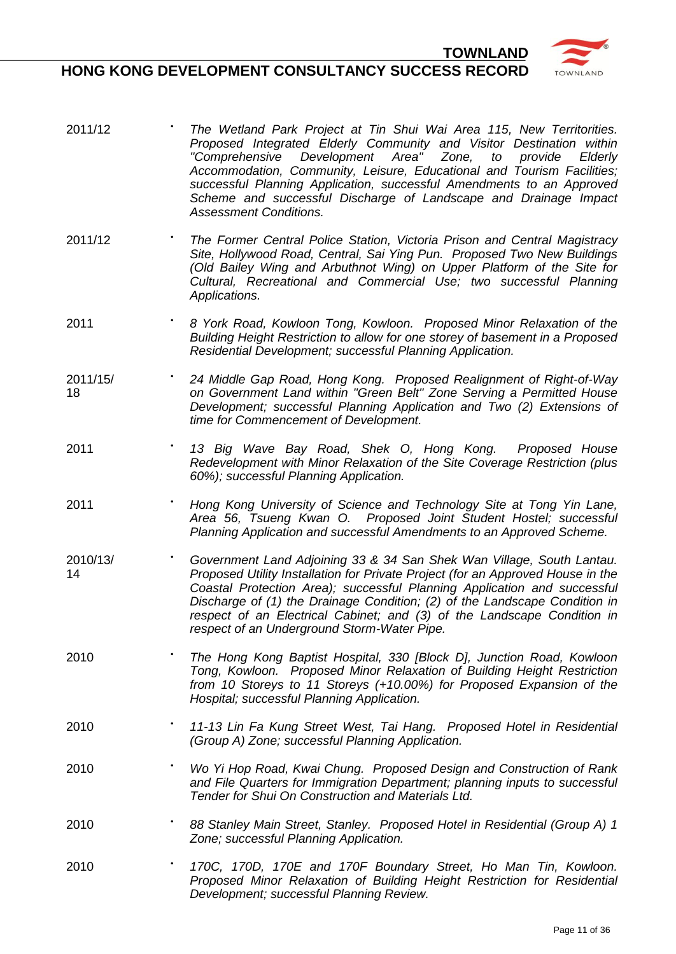- 2011/12 **•** *The Wetland Park Project at Tin Shui Wai Area 115, New Territorities. Proposed Integrated Elderly Community and Visitor Destination within "Comprehensive Development Area" Zone, to provide Elderly Accommodation, Community, Leisure, Educational and Tourism Facilities; successful Planning Application, successful Amendments to an Approved Scheme and successful Discharge of Landscape and Drainage Impact Assessment Conditions.*
- $2011/12$ **•** *The Former Central Police Station, Victoria Prison and Central Magistracy Site, Hollywood Road, Central, Sai Ying Pun. Proposed Two New Buildings (Old Bailey Wing and Arbuthnot Wing) on Upper Platform of the Site for Cultural, Recreational and Commercial Use; two successful Planning Applications.*
- 2011 **8** *York Road, Kowloon Tong, Kowloon. Proposed Minor Relaxation of the Building Height Restriction to allow for one storey of basement in a Proposed Residential Development; successful Planning Application.*
- 2011/15/ 18 **•** *24 Middle Gap Road, Hong Kong. Proposed Realignment of Right-of-Way on Government Land within "Green Belt" Zone Serving a Permitted House Development; successful Planning Application and Two (2) Extensions of time for Commencement of Development.*
- 2011 **·** *13 Big Wave Bay Road, Shek O, Hong Kong. Proposed House Redevelopment with Minor Relaxation of the Site Coverage Restriction (plus 60%); successful Planning Application.*
- 2011 **•** *Hong Kong University of Science and Technology Site at Tong Yin Lane, Area 56, Tsueng Kwan O. Proposed Joint Student Hostel; successful Planning Application and successful Amendments to an Approved Scheme.*
- 2010/13/ 14 **•** *Government Land Adjoining 33 & 34 San Shek Wan Village, South Lantau. Proposed Utility Installation for Private Project (for an Approved House in the Coastal Protection Area); successful Planning Application and successful Discharge of (1) the Drainage Condition; (2) of the Landscape Condition in respect of an Electrical Cabinet; and (3) of the Landscape Condition in respect of an Underground Storm-Water Pipe.*
- 2010 **•** *The Hong Kong Baptist Hospital, 330 [Block D], Junction Road, Kowloon Tong, Kowloon. Proposed Minor Relaxation of Building Height Restriction from 10 Storeys to 11 Storeys (+10.00%) for Proposed Expansion of the Hospital; successful Planning Application.*
- 2010 **•** *11-13 Lin Fa Kung Street West, Tai Hang. Proposed Hotel in Residential (Group A) Zone; successful Planning Application.*
- 2010 **•** *Wo Yi Hop Road, Kwai Chung. Proposed Design and Construction of Rank and File Quarters for Immigration Department; planning inputs to successful Tender for Shui On Construction and Materials Ltd.*
- 2010 **••** *B8 Stanley Main Street, Stanley. Proposed Hotel in Residential (Group A) 1 Zone; successful Planning Application.*
- 2010 BSSK **•** *170C, 170D, 170E and 170F Boundary Street, Ho Man Tin, Kowloon. Proposed Minor Relaxation of Building Height Restriction for Residential Development; successful Planning Review.*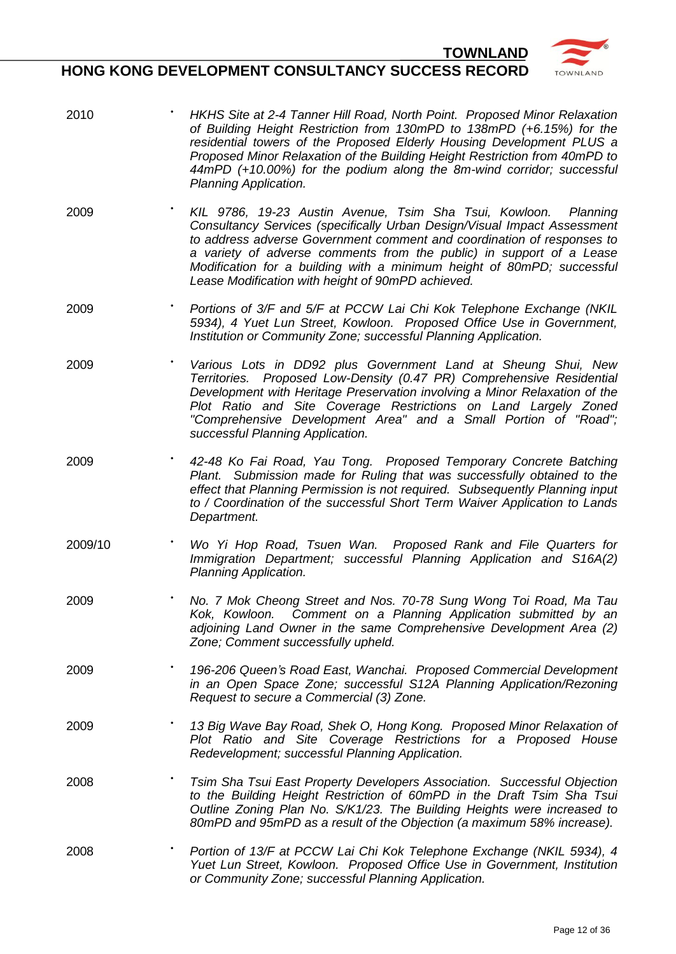

- $2010$ **•** *HKHS Site at 2-4 Tanner Hill Road, North Point. Proposed Minor Relaxation of Building Height Restriction from 130mPD to 138mPD (+6.15%) for the residential towers of the Proposed Elderly Housing Development PLUS a Proposed Minor Relaxation of the Building Height Restriction from 40mPD to 44mPD (+10.00%) for the podium along the 8m-wind corridor; successful Planning Application.*
- 2009 AATST **•** *KIL 9786, 19-23 Austin Avenue, Tsim Sha Tsui, Kowloon. Planning Consultancy Services (specifically Urban Design/Visual Impact Assessment to address adverse Government comment and coordination of responses to a variety of adverse comments from the public) in support of a Lease Modification for a building with a minimum height of 80mPD; successful Lease Modification with height of 90mPD achieved.*
- 2009 **•** *Portions of 3/F and 5/F at PCCW Lai Chi Kok Telephone Exchange (NKIL 5934), 4 Yuet Lun Street, Kowloon. Proposed Office Use in Government, Institution or Community Zone; successful Planning Application.*
- 2009 **•** *Various Lots in DD92 plus Government Land at Sheung Shui, New Territories. Proposed Low-Density (0.47 PR) Comprehensive Residential Development with Heritage Preservation involving a Minor Relaxation of the Plot Ratio and Site Coverage Restrictions on Land Largely Zoned "Comprehensive Development Area" and a Small Portion of "Road"; successful Planning Application.*
- 2009 **•** *42-48 Ko Fai Road, Yau Tong. Proposed Temporary Concrete Batching Plant. Submission made for Ruling that was successfully obtained to the effect that Planning Permission is not required. Subsequently Planning input to / Coordination of the successful Short Term Waiver Application to Lands Department.*
- 2009/10 **•** *Wo Yi Hop Road, Tsuen Wan. Proposed Rank and File Quarters for Immigration Department; successful Planning Application and S16A(2) Planning Application.*
- 2009 **•** *No. 7 Mok Cheong Street and Nos. 70-78 Sung Wong Toi Road, Ma Tau Kok, Kowloon. Comment on a Planning Application submitted by an adjoining Land Owner in the same Comprehensive Development Area (2) Zone; Comment successfully upheld.*
- 2009 **•** *196-206 Queen's Road East, Wanchai. Proposed Commercial Development in an Open Space Zone; successful S12A Planning Application/Rezoning Request to secure a Commercial (3) Zone.*
- 2009 **•• 13 Big Wave Bay Road, Shek O, Hong Kong. Proposed Minor Relaxation of** *Plot Ratio and Site Coverage Restrictions for a Proposed House Redevelopment; successful Planning Application.*
- 2008 *Tsim Sha Tsui East Property Developers Association. Successful Objection**interion* **<b>***psilonics to the Building Height Restriction of 60mPD in the Draft Tsim Sha Tsui Outline Zoning Plan No. S/K1/23. The Building Heights were increased to 80mPD and 95mPD as a result of the Objection (a maximum 58% increase).*
- 2008 **•** *Portion of 13/F at PCCW Lai Chi Kok Telephone Exchange (NKIL 5934), 4 Yuet Lun Street, Kowloon. Proposed Office Use in Government, Institution or Community Zone; successful Planning Application.*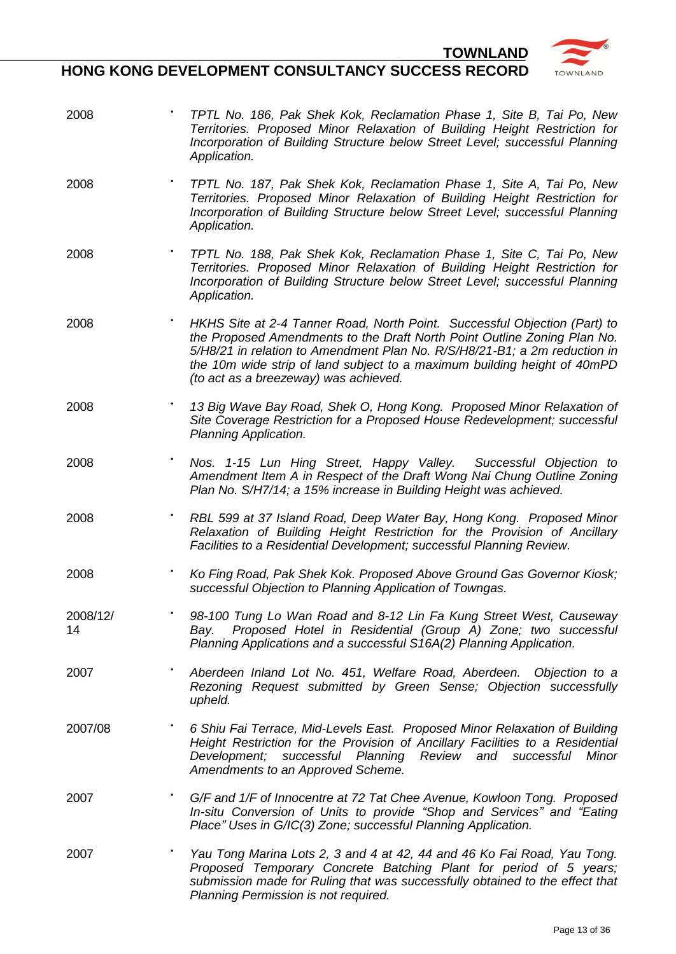

- 2008 **•** *TPTL No. 186, Pak Shek Kok, Reclamation Phase 1, Site B, Tai Po, New Territories. Proposed Minor Relaxation of Building Height Restriction for Incorporation of Building Structure below Street Level; successful Planning Application.*
- 2008 **•** *TPTL No. 187, Pak Shek Kok, Reclamation Phase 1, Site A, Tai Po, New Territories. Proposed Minor Relaxation of Building Height Restriction for Incorporation of Building Structure below Street Level; successful Planning Application.*
- 2008 **•** *TPTL No. 188, Pak Shek Kok, Reclamation Phase 1, Site C, Tai Po, New Territories. Proposed Minor Relaxation of Building Height Restriction for Incorporation of Building Structure below Street Level; successful Planning Application.*
- 2008 **•** *HKHS Site at 2-4 Tanner Road, North Point. Successful Objection (Part) to the Proposed Amendments to the Draft North Point Outline Zoning Plan No. 5/H8/21 in relation to Amendment Plan No. R/S/H8/21-B1; a 2m reduction in the 10m wide strip of land subject to a maximum building height of 40mPD (to act as a breezeway) was achieved.*
- 2008 SOR/2 **•** *13 Big Wave Bay Road, Shek O, Hong Kong. Proposed Minor Relaxation of Site Coverage Restriction for a Proposed House Redevelopment; successful Planning Application.*
- 2008 **•** *Nos. 1-15 Lun Hing Street, Happy Valley. Successful Objection to Amendment Item A in Respect of the Draft Wong Nai Chung Outline Zoning Plan No. S/H7/14; a 15% increase in Building Height was achieved.*
- 2008 IRDWB **•** *RBL 599 at 37 Island Road, Deep Water Bay, Hong Kong. Proposed Minor Relaxation of Building Height Restriction for the Provision of Ancillary Facilities to a Residential Development; successful Planning Review.*
- 2008 **•** *Ko Fing Road, Pak Shek Kok. Proposed Above Ground Gas Governor Kiosk; successful Objection to Planning Application of Towngas.*
- 2008/12/ 14 **•** *98-100 Tung Lo Wan Road and 8-12 Lin Fa Kung Street West, Causeway Bay. Proposed Hotel in Residential (Group A) Zone; two successful Planning Applications and a successful S16A(2) Planning Application.*
- 2007 WRA **•** *Aberdeen Inland Lot No. 451, Welfare Road, Aberdeen. Objection to a Rezoning Request submitted by Green Sense; Objection successfully upheld.*
- 2007/08 **6 Shiu Fai Terrace, Mid-Levels East. Proposed Minor Relaxation of Building** *Height Restriction for the Provision of Ancillary Facilities to a Residential Development; successful Planning Review and successful Minor Amendments to an Approved Scheme.*
- 2007 **•** *G/F and 1/F of Innocentre at 72 Tat Chee Avenue, Kowloon Tong. Proposed In-situ Conversion of Units to provide "Shop and Services" and "Eating Place" Uses in G/IC(3) Zone; successful Planning Application.*
- 2007 **•** *Yau Tong Marina Lots 2, 3 and 4 at 42, 44 and 46 Ko Fai Road, Yau Tong. Proposed Temporary Concrete Batching Plant for period of 5 years; submission made for Ruling that was successfully obtained to the effect that Planning Permission is not required.*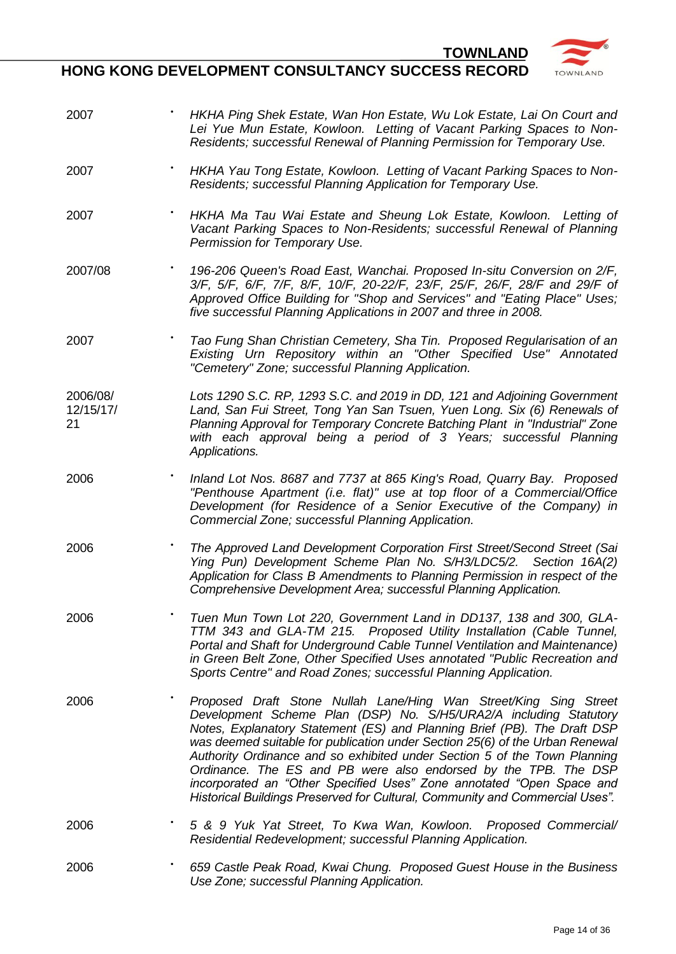

| 2007                        | HKHA Ping Shek Estate, Wan Hon Estate, Wu Lok Estate, Lai On Court and<br>Lei Yue Mun Estate, Kowloon. Letting of Vacant Parking Spaces to Non-<br>Residents; successful Renewal of Planning Permission for Temporary Use.                                                                                                                                                                                                                                                                                                                                                                                  |
|-----------------------------|-------------------------------------------------------------------------------------------------------------------------------------------------------------------------------------------------------------------------------------------------------------------------------------------------------------------------------------------------------------------------------------------------------------------------------------------------------------------------------------------------------------------------------------------------------------------------------------------------------------|
| 2007                        | HKHA Yau Tong Estate, Kowloon. Letting of Vacant Parking Spaces to Non-<br>Residents; successful Planning Application for Temporary Use.                                                                                                                                                                                                                                                                                                                                                                                                                                                                    |
| 2007                        | HKHA Ma Tau Wai Estate and Sheung Lok Estate, Kowloon. Letting of<br>Vacant Parking Spaces to Non-Residents; successful Renewal of Planning<br>Permission for Temporary Use.                                                                                                                                                                                                                                                                                                                                                                                                                                |
| 2007/08                     | 196-206 Queen's Road East, Wanchai. Proposed In-situ Conversion on 2/F,<br>3/F, 5/F, 6/F, 7/F, 8/F, 10/F, 20-22/F, 23/F, 25/F, 26/F, 28/F and 29/F of<br>Approved Office Building for "Shop and Services" and "Eating Place" Uses;<br>five successful Planning Applications in 2007 and three in 2008.                                                                                                                                                                                                                                                                                                      |
| 2007                        | Tao Fung Shan Christian Cemetery, Sha Tin. Proposed Regularisation of an<br>Existing Urn Repository within an "Other Specified Use" Annotated<br>"Cemetery" Zone; successful Planning Application.                                                                                                                                                                                                                                                                                                                                                                                                          |
| 2006/08/<br>12/15/17/<br>21 | Lots 1290 S.C. RP, 1293 S.C. and 2019 in DD, 121 and Adjoining Government<br>Land, San Fui Street, Tong Yan San Tsuen, Yuen Long. Six (6) Renewals of<br>Planning Approval for Temporary Concrete Batching Plant in "Industrial" Zone<br>with each approval being a period of 3 Years; successful Planning<br>Applications.                                                                                                                                                                                                                                                                                 |
| 2006                        | Inland Lot Nos. 8687 and 7737 at 865 King's Road, Quarry Bay. Proposed<br>"Penthouse Apartment (i.e. flat)" use at top floor of a Commercial/Office<br>Development (for Residence of a Senior Executive of the Company) in<br>Commercial Zone; successful Planning Application.                                                                                                                                                                                                                                                                                                                             |
| 2006                        | The Approved Land Development Corporation First Street/Second Street (Sai<br>Ying Pun) Development Scheme Plan No. S/H3/LDC5/2. Section 16A(2)<br>Application for Class B Amendments to Planning Permission in respect of the<br>Comprehensive Development Area; successful Planning Application.                                                                                                                                                                                                                                                                                                           |
| 2006                        | Tuen Mun Town Lot 220, Government Land in DD137, 138 and 300, GLA-<br>TTM 343 and GLA-TM 215. Proposed Utility Installation (Cable Tunnel,<br>Portal and Shaft for Underground Cable Tunnel Ventilation and Maintenance)<br>in Green Belt Zone, Other Specified Uses annotated "Public Recreation and<br>Sports Centre" and Road Zones; successful Planning Application.                                                                                                                                                                                                                                    |
| 2006                        | Proposed Draft Stone Nullah Lane/Hing Wan Street/King Sing Street<br>Development Scheme Plan (DSP) No. S/H5/URA2/A including Statutory<br>Notes, Explanatory Statement (ES) and Planning Brief (PB). The Draft DSP<br>was deemed suitable for publication under Section 25(6) of the Urban Renewal<br>Authority Ordinance and so exhibited under Section 5 of the Town Planning<br>Ordinance. The ES and PB were also endorsed by the TPB. The DSP<br>incorporated an "Other Specified Uses" Zone annotated "Open Space and<br>Historical Buildings Preserved for Cultural, Community and Commercial Uses". |
| 2006                        | 5 & 9 Yuk Yat Street, To Kwa Wan, Kowloon. Proposed Commercial/<br>Residential Redevelopment; successful Planning Application.                                                                                                                                                                                                                                                                                                                                                                                                                                                                              |
| 2006                        | 659 Castle Peak Road, Kwai Chung. Proposed Guest House in the Business<br>Use Zone; successful Planning Application.                                                                                                                                                                                                                                                                                                                                                                                                                                                                                        |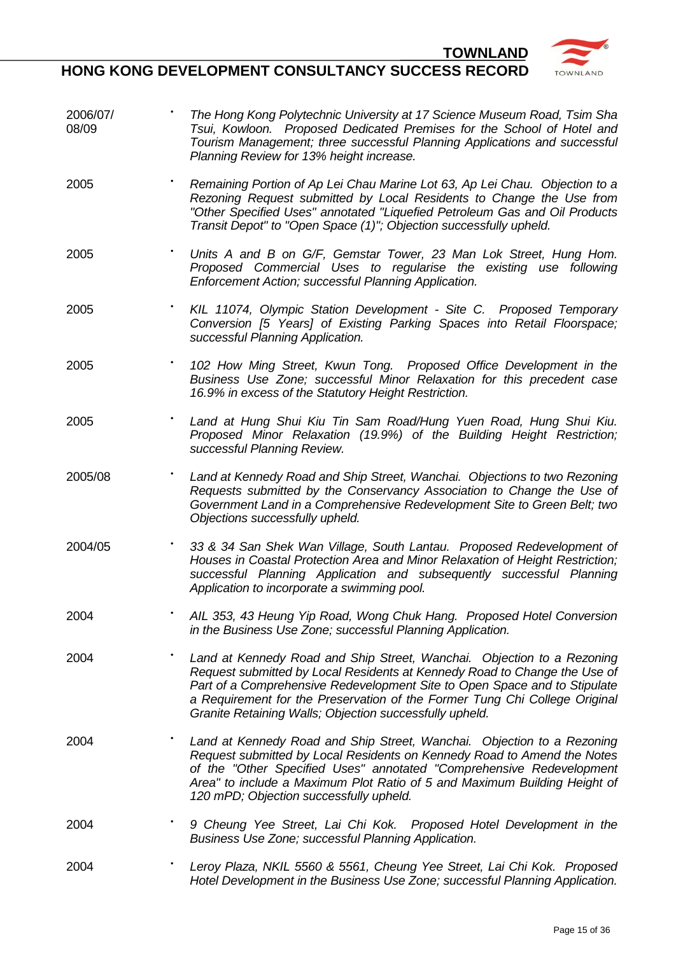



2006/07/ 08/09 **•** *The Hong Kong Polytechnic University at 17 Science Museum Road, Tsim Sha Tsui, Kowloon. Proposed Dedicated Premises for the School of Hotel and Tourism Management; three successful Planning Applications and successful Planning Review for 13% height increase.* 2005 **•** *Remaining Portion of Ap Lei Chau Marine Lot 63, Ap Lei Chau. Objection to a Rezoning Request submitted by Local Residents to Change the Use from "Other Specified Uses" annotated "Liquefied Petroleum Gas and Oil Products Transit Depot" to "Open Space (1)"; Objection successfully upheld.* 2005 • Units A and B on G/F, Gemstar Tower, 23 Man Lok Street, Hung Hom. *Proposed Commercial Uses to regularise the existing use following Enforcement Action; successful Planning Application.* 2005 **•** *KIL 11074, Olympic Station Development - Site C. Proposed Temporary Conversion [5 Years] of Existing Parking Spaces into Retail Floorspace; successful Planning Application.* 2005 **•** *102 How Ming Street, Kwun Tong. Proposed Office Development in the Business Use Zone; successful Minor Relaxation for this precedent case 16.9% in excess of the Statutory Height Restriction.* 2005 **•** *Land at Hung Shui Kiu Tin Sam Road/Hung Yuen Road, Hung Shui Kiu. Proposed Minor Relaxation (19.9%) of the Building Height Restriction; successful Planning Review.* 2005/08 **•** *Land at Kennedy Road and Ship Street, Wanchai. Objections to two Rezoning Requests submitted by the Conservancy Association to Change the Use of Government Land in a Comprehensive Redevelopment Site to Green Belt; two Objections successfully upheld.* 2004/05 **•** *33 & 34 San Shek Wan Village, South Lantau. Proposed Redevelopment of Houses in Coastal Protection Area and Minor Relaxation of Height Restriction; successful Planning Application and subsequently successful Planning Application to incorporate a swimming pool.* 2004 **•** *AIL 353, 43 Heung Yip Road, Wong Chuk Hang. Proposed Hotel Conversion in the Business Use Zone; successful Planning Application.* 2004 **•** *Land at Kennedy Road and Ship Street, Wanchai. Objection to a Rezoning Request submitted by Local Residents at Kennedy Road to Change the Use of*  **Part of a Comprehensive Redevelopment Site to Open Space and to Stipulate** *a Requirement for the Preservation of the Former Tung Chi College Original Granite Retaining Walls; Objection successfully upheld.* 2004 **•** *Land at Kennedy Road and Ship Street, Wanchai. Objection to a Rezoning Request submitted by Local Residents on Kennedy Road to Amend the Notes of the "Other Specified Uses" annotated "Comprehensive Redevelopment Area" to include a Maximum Plot Ratio of 5 and Maximum Building Height of 120 mPD; Objection successfully upheld.* 2004 **•** *9 Cheung Yee Street, Lai Chi Kok. Proposed Hotel Development in the Business Use Zone; successful Planning Application.* 2004 **•** *Leroy Plaza, NKIL 5560 & 5561, Cheung Yee Street, Lai Chi Kok. Proposed Hotel Development in the Business Use Zone; successful Planning Application.*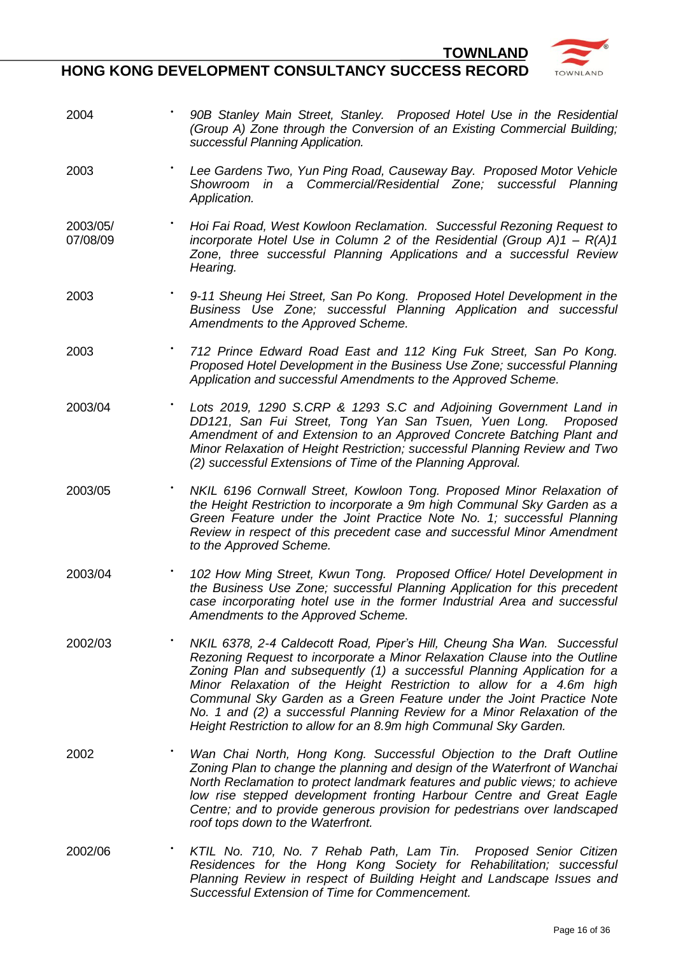

**HONG KONG DEVELOPMENT CONSULTANCY SUCCESS RECORD**

2004 • **90B Stanley Main Street, Stanley.** Proposed Hotel Use in the Residential *(Group A) Zone through the Conversion of an Existing Commercial Building; successful Planning Application.* 2003 **••** *Lee Gardens Two, Yun Ping Road, Causeway Bay. Proposed Motor Vehicle**Proposed Motor Vehicle Showroom in a Commercial/Residential Zone; successful Planning Application.* 2003/05/ 07/08/09 **•** *Hoi Fai Road, West Kowloon Reclamation. Successful Rezoning Request to incorporate Hotel Use in Column 2 of the Residential (Group A)1 – R(A)1 Zone, three successful Planning Applications and a successful Review Hearing.* 2003 **•** *9-11 Sheung Hei Street, San Po Kong. Proposed Hotel Development in the Business Use Zone; successful Planning Application and successful Amendments to the Approved Scheme.* 2003 **•** *712 Prince Edward Road East and 112 King Fuk Street, San Po Kong. Proposed Hotel Development in the Business Use Zone; successful Planning Application and successful Amendments to the Approved Scheme.* 2003/04 **•** *Lots 2019, 1290 S.CRP & 1293 S.C and Adjoining Government Land in DD121, San Fui Street, Tong Yan San Tsuen, Yuen Long. Proposed Amendment of and Extension to an Approved Concrete Batching Plant and Minor Relaxation of Height Restriction; successful Planning Review and Two (2) successful Extensions of Time of the Planning Approval.* 2003/05 CS, (i) **•** *NKIL 6196 Cornwall Street, Kowloon Tong. Proposed Minor Relaxation of the Height Restriction to incorporate a 9m high Communal Sky Garden as a Green Feature under the Joint Practice Note No. 1; successful Planning Review in respect of this precedent case and successful Minor Amendment to the Approved Scheme.* 2003/04 **•** *102 How Ming Street, Kwun Tong. Proposed Office/ Hotel Development in the Business Use Zone; successful Planning Application for this precedent case incorporating hotel use in the former Industrial Area and successful Amendments to the Approved Scheme.* 2002/03 **•** *NKIL 6378, 2-4 Caldecott Road, Piper's Hill, Cheung Sha Wan. Successful Rezoning Request to incorporate a Minor Relaxation Clause into the Outline Zoning Plan and subsequently (1) a successful Planning Application for a Minor Relaxation of the Height Restriction to allow for a 4.6m high Communal Sky Garden as a Green Feature under the Joint Practice Note No. 1 and (2) a successful Planning Review for a Minor Relaxation of the Height Restriction to allow for an 8.9m high Communal Sky Garden.* 2002 • *Wan Chai North, Hong Kong. Successful Objection to the Draft Outline Zoning Plan to change the planning and design of the Waterfront of Wanchai North Reclamation to protect landmark features and public views; to achieve low rise stepped development fronting Harbour Centre and Great Eagle Centre; and to provide generous provision for pedestrians over landscaped roof tops down to the Waterfront.*  2002/06 **•** *KTIL No. 710, No. 7 Rehab Path, Lam Tin. Proposed Senior Citizen Residences for the Hong Kong Society for Rehabilitation; successful Planning Review in respect of Building Height and Landscape Issues and Successful Extension of Time for Commencement.*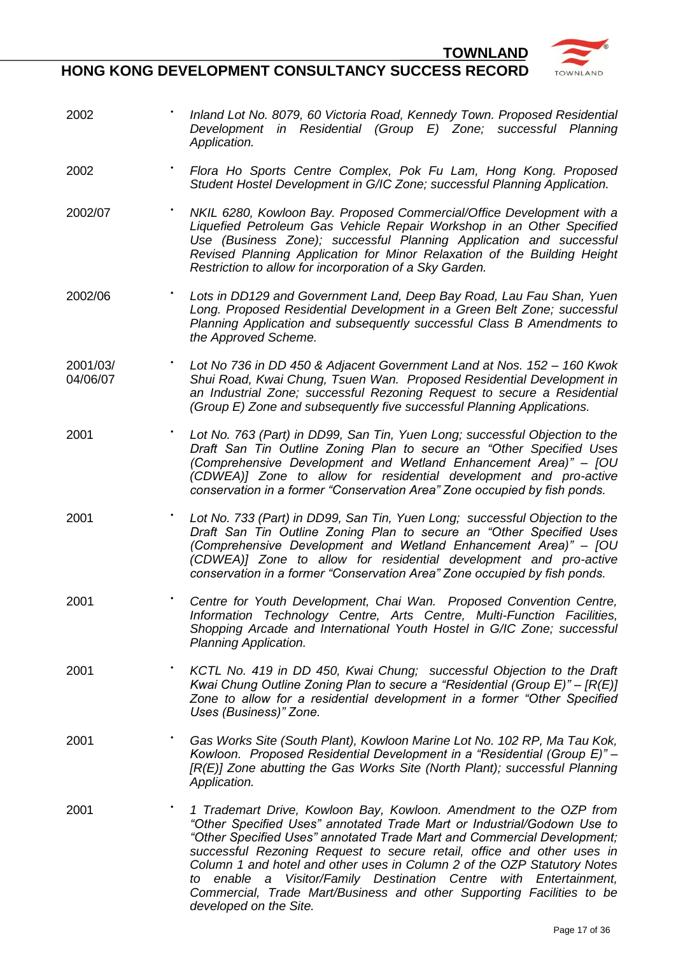

- 2002 **•** *Inland Lot No. 8079, 60 Victoria Road, Kennedy Town. Proposed Residential Development in Residential (Group E) Zone; successful Planning Application.*
- 2002 **•** *Flora Ho Sports Centre Complex, Pok Fu Lam, Hong Kong. Proposed Student Hostel Development in G/IC Zone; successful Planning Application.*
- 2002/07 **•** *NKIL 6280, Kowloon Bay. Proposed Commercial/Office Development with a Liquefied Petroleum Gas Vehicle Repair Workshop in an Other Specified Use (Business Zone); successful Planning Application and successful Revised Planning Application for Minor Relaxation of the Building Height Restriction to allow for incorporation of a Sky Garden.*
- $2002/06$ **•** *Lots in DD129 and Government Land, Deep Bay Road, Lau Fau Shan, Yuen Long. Proposed Residential Development in a Green Belt Zone; successful Planning Application and subsequently successful Class B Amendments to the Approved Scheme.*
- 2001/03/ 04/06/07 **•** *Lot No 736 in DD 450 & Adjacent Government Land at Nos. 152 – 160 Kwok Shui Road, Kwai Chung, Tsuen Wan. Proposed Residential Development in an Industrial Zone; successful Rezoning Request to secure a Residential (Group E) Zone and subsequently five successful Planning Applications.*
- 2001 **•** *Lot No. 763 (Part) in DD99, San Tin, Yuen Long; successful Objection to the Draft San Tin Outline Zoning Plan to secure an "Other Specified Uses (Comprehensive Development and Wetland Enhancement Area)" – [OU (CDWEA)] Zone to allow for residential development and pro-active conservation in a former "Conservation Area" Zone occupied by fish ponds.*
- 2001 **Communist Fig. 733 (Part) in DD99, San Tin, Yuen Long; successful Objection to the** *and 100* **Fig. 2001** *Draft San Tin Outline Zoning Plan to secure an "Other Specified Uses (Comprehensive Development and Wetland Enhancement Area)" – [OU (CDWEA)] Zone to allow for residential development and pro-active conservation in a former "Conservation Area" Zone occupied by fish ponds.*
- 2001 **•** *Centre for Youth Development, Chai Wan. Proposed Convention Centre, Information Technology Centre, Arts Centre, Multi-Function Facilities, Shopping Arcade and International Youth Hostel in G/IC Zone; successful Planning Application.*
- 2001 **••** *KCTL No. 419 in DD 450, Kwai Chung;* **successful Objection to the Draft** *Kwai Chung Outline Zoning Plan to secure a "Residential (Group E)" – [R(E)] Zone to allow for a residential development in a former "Other Specified Uses (Business)" Zone.*
- 2001 **•** *Gas Works Site (South Plant), Kowloon Marine Lot No. 102 RP, Ma Tau Kok, Kowloon. Proposed Residential Development in a "Residential (Group E)" – [R(E)] Zone abutting the Gas Works Site (North Plant); successful Planning Application.*
- 2001 **•** *1 Trademart Drive, Kowloon Bay, Kowloon. Amendment to the OZP from "Other Specified Uses" annotated Trade Mart or Industrial/Godown Use to "Other Specified Uses" annotated Trade Mart and Commercial Development; successful Rezoning Request to secure retail, office and other uses in Column 1 and hotel and other uses in Column 2 of the OZP Statutory Notes to enable a Visitor/Family Destination Centre with Entertainment, Commercial, Trade Mart/Business and other Supporting Facilities to be developed on the Site.*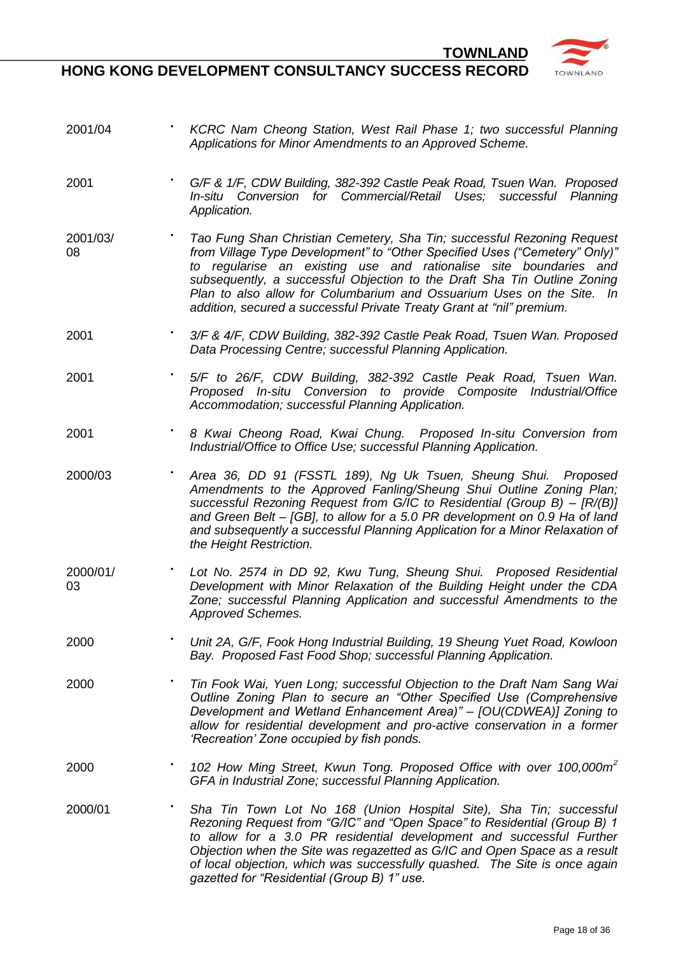**•** *KCRC Nam Cheong Station, West Rail Phase 1; two successful Planning* 

**HONG KONG DEVELOPMENT CONSULTANCY SUCCESS RECORD**

2001/04



*Applications for Minor Amendments to an Approved Scheme.* 2001 **•** *G/F & 1/F, CDW Building, 382-392 Castle Peak Road, Tsuen Wan. Proposed In-situ Conversion for Commercial/Retail Uses; successful Planning Application.*  2001/03/ 08 **Tao Fung Shan Christian Cemetery, Sha Tin; successful Rezoning Request** *from Village Type Development" to "Other Specified Uses ("Cemetery" Only)" to regularise an existing use and rationalise site boundaries and subsequently, a successful Objection to the Draft Sha Tin Outline Zoning Plan to also allow for Columbarium and Ossuarium Uses on the Site. In addition, secured a successful Private Treaty Grant at "nil" premium.* 2001 **•** *3/F & 4/F, CDW Building, 382-392 Castle Peak Road, Tsuen Wan. Proposed Data Processing Centre; successful Planning Application.* 2001 **•** *5/F to 26/F, CDW Building, 382-392 Castle Peak Road, Tsuen Wan. Proposed In-situ Conversion to provide Composite Industrial/Office Accommodation; successful Planning Application.*  2001 **•** *8 Kwai Cheong Road, Kwai Chung. Proposed In-situ Conversion from Industrial/Office to Office Use; successful Planning Application.* 2000/03 · *Area 36, DD 91 (FSSTL 189), Ng Uk Tsuen, Sheung Shui. Proposed Amendments to the Approved Fanling/Sheung Shui Outline Zoning Plan; successful Rezoning Request from G/IC to Residential (Group B) – [R/(B)] and Green Belt – [GB], to allow for a 5.0 PR development on 0.9 Ha of land and subsequently a successful Planning Application for a Minor Relaxation of the Height Restriction.*  2000/01/ 03 Lot No. 2574 in DD 92, Kwu Tung, Sheung Shui. Proposed Residential *Development with Minor Relaxation of the Building Height under the CDA Zone; successful Planning Application and successful Amendments to the Approved Schemes.* 2000 **•** *Unit 2A, G/F, Fook Hong Industrial Building, 19 Sheung Yuet Road, Kowloon Bay. Proposed Fast Food Shop; successful Planning Application.* 2000 **•** *Tin Fook Wai, Yuen Long; successful Objection to the Draft Nam Sang Wai Outline Zoning Plan to secure an "Other Specified Use (Comprehensive Development and Wetland Enhancement Area)" – [OU(CDWEA)] Zoning to allow for residential development and pro-active conservation in a former 'Recreation' Zone occupied by fish ponds.*  2000 **•** *102 How Ming Street, Kwun Tong. Proposed Office with over 100,000m<sup>2</sup> GFA in Industrial Zone; successful Planning Application.*  2000/01 • **Sha Tin Town Lot No 168 (Union Hospital Site), Sha Tin; successful** *Rezoning Request from "G/IC" and "Open Space" to Residential (Group B) 1 to allow for a 3.0 PR residential development and successful Further Objection when the Site was regazetted as G/IC and Open Space as a result of local objection, which was successfully quashed. The Site is once again gazetted for "Residential (Group B) 1" use.*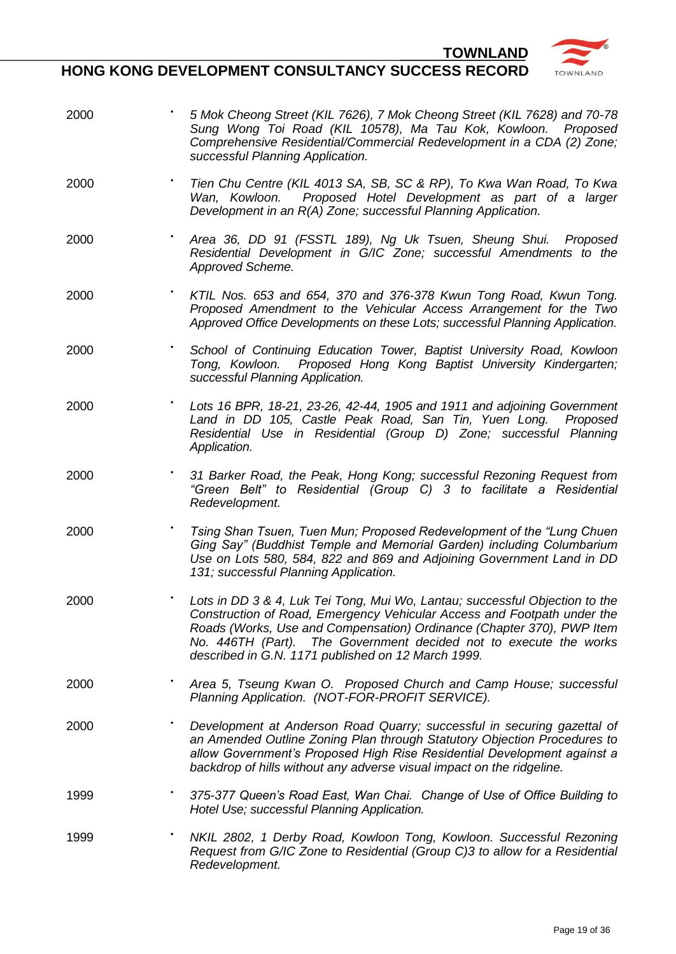

### **HONG KONG DEVELOPMENT CONSULTANCY SUCCESS RECORD**

2000 **•** *5 Mok Cheong Street (KIL 7626), 7 Mok Cheong Street (KIL 7628) and 70-78 Sung Wong Toi Road (KIL 10578), Ma Tau Kok, Kowloon. Proposed Comprehensive Residential/Commercial Redevelopment in a CDA (2) Zone; successful Planning Application.* 2000 **•** *Tien Chu Centre (KIL 4013 SA, SB, SC & RP), To Kwa Wan Road, To Kwa Wan, Kowloon. Proposed Hotel Development as part of a larger Development in an R(A) Zone; successful Planning Application.* 2000 NUT/2 **•** *Area 36, DD 91 (FSSTL 189), Ng Uk Tsuen, Sheung Shui. Proposed Residential Development in G/IC Zone; successful Amendments to the Approved Scheme.* 2000 **•** *KTIL Nos. 653 and 654, 370 and 376-378 Kwun Tong Road, Kwun Tong. Proposed Amendment to the Vehicular Access Arrangement for the Two Approved Office Developments on these Lots; successful Planning Application.* 2000 BUR **•** *School of Continuing Education Tower, Baptist University Road, Kowloon Tong, Kowloon. Proposed Hong Kong Baptist University Kindergarten; successful Planning Application.* 2000 **•** *Lots 16 BPR, 18-21, 23-26, 42-44, 1905 and 1911 and adjoining Government Land in DD 105, Castle Peak Road, San Tin, Yuen Long. Proposed Residential Use in Residential (Group D) Zone; successful Planning Application.* 2000 **•** *31 Barker Road, the Peak, Hong Kong; successful Rezoning Request from "Green Belt" to Residential (Group C) 3 to facilitate a Residential Redevelopment.* 2000 **•** *Tsing Shan Tsuen, Tuen Mun; Proposed Redevelopment of the "Lung Chuen Ging Say" (Buddhist Temple and Memorial Garden) including Columbarium Use on Lots 580, 584, 822 and 869 and Adjoining Government Land in DD 131; successful Planning Application.* 2000 MWL/5 **•** *Lots in DD 3 & 4, Luk Tei Tong, Mui Wo, Lantau; successful Objection to the Construction of Road, Emergency Vehicular Access and Footpath under the Roads (Works, Use and Compensation) Ordinance (Chapter 370), PWP Item No. 446TH (Part). The Government decided not to execute the works described in G.N. 1171 published on 12 March 1999.* 2000 **•** *Area 5, Tseung Kwan O. Proposed Church and Camp House; successful Planning Application. (NOT-FOR-PROFIT SERVICE).* 2000 • *Development at Anderson Road Quarry; successful in securing gazettal of an Amended Outline Zoning Plan through Statutory Objection Procedures to allow Government's Proposed High Rise Residential Development against a backdrop of hills without any adverse visual impact on the ridgeline.* 1999 **•** *375-377 Queen's Road East, Wan Chai. Change of Use of Office Building to Hotel Use; successful Planning Application.* 1999 **•** *NKIL 2802, 1 Derby Road, Kowloon Tong, Kowloon. Successful Rezoning Request from G/IC Zone to Residential (Group C)3 to allow for a Residential Redevelopment.*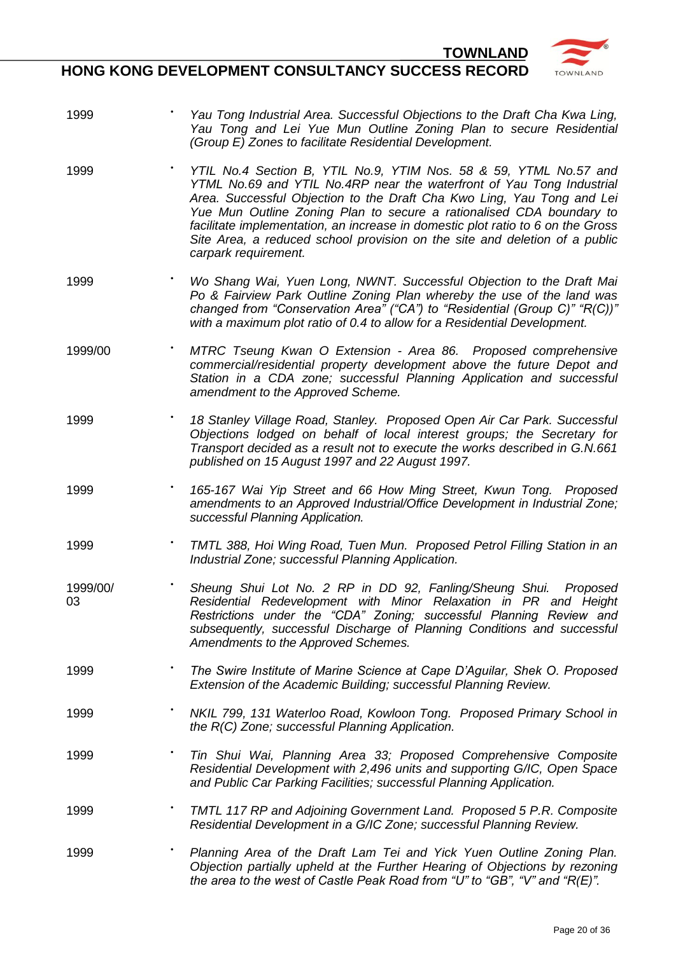

- 1999 **•** *Yau Tong Industrial Area. Successful Objections to the Draft Cha Kwa Ling, Yau Tong and Lei Yue Mun Outline Zoning Plan to secure Residential (Group E) Zones to facilitate Residential Development.*
- 1999 **•** *YTIL No.4 Section B, YTIL No.9, YTIM Nos. 58 & 59, YTML No.57 and YTML No.69 and YTIL No.4RP near the waterfront of Yau Tong Industrial Area. Successful Objection to the Draft Cha Kwo Ling, Yau Tong and Lei Yue Mun Outline Zoning Plan to secure a rationalised CDA boundary to facilitate implementation, an increase in domestic plot ratio to 6 on the Gross Site Area, a reduced school provision on the site and deletion of a public carpark requirement.*
- 1999 **•** *Wo Shang Wai, Yuen Long, NWNT. Successful Objection to the Draft Mai Po & Fairview Park Outline Zoning Plan whereby the use of the land was changed from "Conservation Area" ("CA") to "Residential (Group C)" "R(C))" with a maximum plot ratio of 0.4 to allow for a Residential Development.*
- 1999/00 **•** *MTRC Tseung Kwan O Extension - Area 86. Proposed comprehensive commercial/residential property development above the future Depot and Station in a CDA zone; successful Planning Application and successful amendment to the Approved Scheme.*
- 1999 **•** *18 Stanley Village Road, Stanley. Proposed Open Air Car Park. Successful Objections lodged on behalf of local interest groups; the Secretary for Transport decided as a result not to execute the works described in G.N.661 published on 15 August 1997 and 22 August 1997.*
- 1999 **•** *165-167 Wai Yip Street and 66 How Ming Street, Kwun Tong. Proposed amendments to an Approved Industrial/Office Development in Industrial Zone; successful Planning Application.*
- 1999 **•** *TMTL 388, Hoi Wing Road, Tuen Mun. Proposed Petrol Filling Station in an Industrial Zone; successful Planning Application.*
- 1999/00/ 03 **•** *Sheung Shui Lot No. 2 RP in DD 92, Fanling/Sheung Shui. Proposed Residential Redevelopment with Minor Relaxation in PR and Height Restrictions under the "CDA" Zoning; successful Planning Review and subsequently, successful Discharge of Planning Conditions and successful Amendments to the Approved Schemes.*
- 1999 **•** *The Swire Institute of Marine Science at Cape D'Aguilar, Shek O. Proposed Extension of the Academic Building; successful Planning Review.*
- 1999 **•** *NKIL 799, 131 Waterloo Road, Kowloon Tong. Proposed Primary School in the R(C) Zone; successful Planning Application.*
- 1999 **•** *Tin Shui Wai, Planning Area 33; Proposed Comprehensive Composite Residential Development with 2,496 units and supporting G/IC, Open Space and Public Car Parking Facilities; successful Planning Application.*
- 1999 **•** *TMTL 117 RP and Adjoining Government Land. Proposed 5 P.R. Composite Residential Development in a G/IC Zone; successful Planning Review.*
- 1999 **•** *Planning Area of the Draft Lam Tei and Yick Yuen Outline Zoning Plan. Objection partially upheld at the Further Hearing of Objections by rezoning the area to the west of Castle Peak Road from "U" to "GB", "V" and "R(E)".*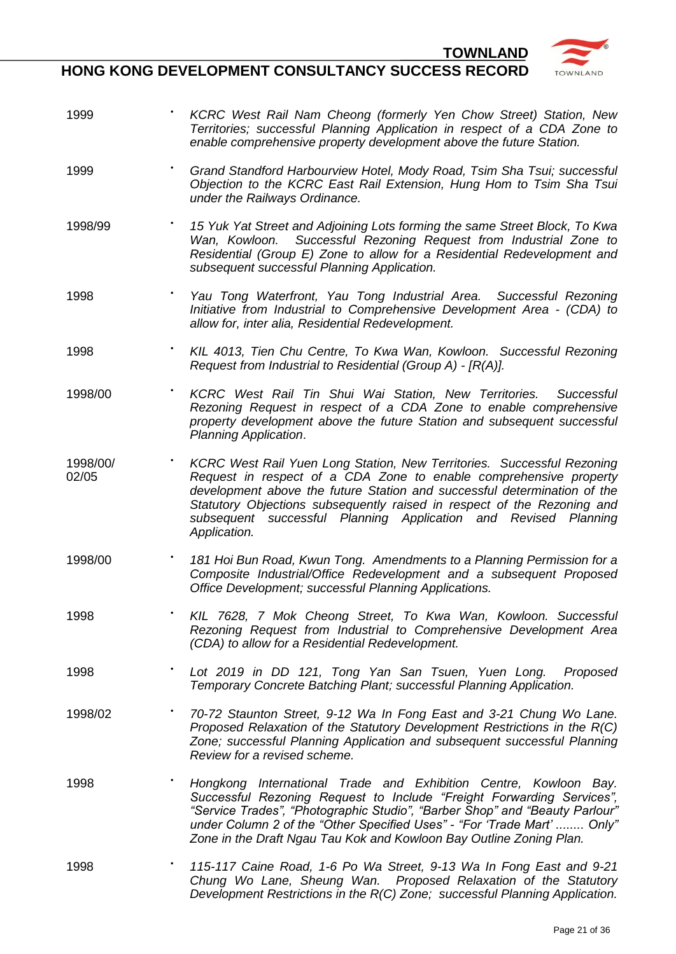**HONG KONG DEVELOPMENT CONSULTANCY SUCCESS RECORD**

1999 **•** *KCRC West Rail Nam Cheong (formerly Yen Chow Street) Station, New* 

*Territories; successful Planning Application in respect of a CDA Zone to* 



|                   | enable comprehensive property development above the future Station.                                                                                                                                                                                                                                                                                                                   |
|-------------------|---------------------------------------------------------------------------------------------------------------------------------------------------------------------------------------------------------------------------------------------------------------------------------------------------------------------------------------------------------------------------------------|
| 1999              | Grand Standford Harbourview Hotel, Mody Road, Tsim Sha Tsui; successful<br>Objection to the KCRC East Rail Extension, Hung Hom to Tsim Sha Tsui<br>under the Railways Ordinance.                                                                                                                                                                                                      |
| 1998/99           | 15 Yuk Yat Street and Adjoining Lots forming the same Street Block, To Kwa<br>Wan, Kowloon. Successful Rezoning Request from Industrial Zone to<br>Residential (Group E) Zone to allow for a Residential Redevelopment and<br>subsequent successful Planning Application.                                                                                                             |
| 1998              | Yau Tong Waterfront, Yau Tong Industrial Area. Successful Rezoning<br>Initiative from Industrial to Comprehensive Development Area - (CDA) to<br>allow for, inter alia, Residential Redevelopment.                                                                                                                                                                                    |
| 1998              | KIL 4013, Tien Chu Centre, To Kwa Wan, Kowloon. Successful Rezoning<br>Request from Industrial to Residential (Group A) - [R(A)].                                                                                                                                                                                                                                                     |
| 1998/00           | KCRC West Rail Tin Shui Wai Station, New Territories. Successful<br>Rezoning Request in respect of a CDA Zone to enable comprehensive<br>property development above the future Station and subsequent successful<br>Planning Application.                                                                                                                                             |
| 1998/00/<br>02/05 | KCRC West Rail Yuen Long Station, New Territories. Successful Rezoning<br>Request in respect of a CDA Zone to enable comprehensive property<br>development above the future Station and successful determination of the<br>Statutory Objections subsequently raised in respect of the Rezoning and<br>subsequent successful Planning Application and Revised Planning<br>Application. |
| 1998/00           | 181 Hoi Bun Road, Kwun Tong. Amendments to a Planning Permission for a<br>Composite Industrial/Office Redevelopment and a subsequent Proposed<br>Office Development; successful Planning Applications.                                                                                                                                                                                |
| 1998              | KIL 7628, 7 Mok Cheong Street, To Kwa Wan, Kowloon. Successful<br>Rezoning Request from Industrial to Comprehensive Development Area<br>(CDA) to allow for a Residential Redevelopment.                                                                                                                                                                                               |
| 1998              | Lot 2019 in DD 121, Tong Yan San Tsuen, Yuen Long. Proposed<br>Temporary Concrete Batching Plant; successful Planning Application.                                                                                                                                                                                                                                                    |
| 1998/02           | 70-72 Staunton Street, 9-12 Wa In Fong East and 3-21 Chung Wo Lane.<br>Proposed Relaxation of the Statutory Development Restrictions in the R(C)<br>Zone; successful Planning Application and subsequent successful Planning<br>Review for a revised scheme.                                                                                                                          |
| 1998              | Hongkong International Trade and Exhibition Centre, Kowloon Bay.<br>Successful Rezoning Request to Include "Freight Forwarding Services",<br>"Service Trades", "Photographic Studio", "Barber Shop" and "Beauty Parlour"<br>under Column 2 of the "Other Specified Uses" - "For 'Trade Mart'  Only"<br>Zone in the Draft Ngau Tau Kok and Kowloon Bay Outline Zoning Plan.            |
| 1998              | 115-117 Caine Road, 1-6 Po Wa Street, 9-13 Wa In Fong East and 9-21<br>Chung Wo Lane, Sheung Wan. Proposed Relaxation of the Statutory<br>Development Restrictions in the R(C) Zone; successful Planning Application.                                                                                                                                                                 |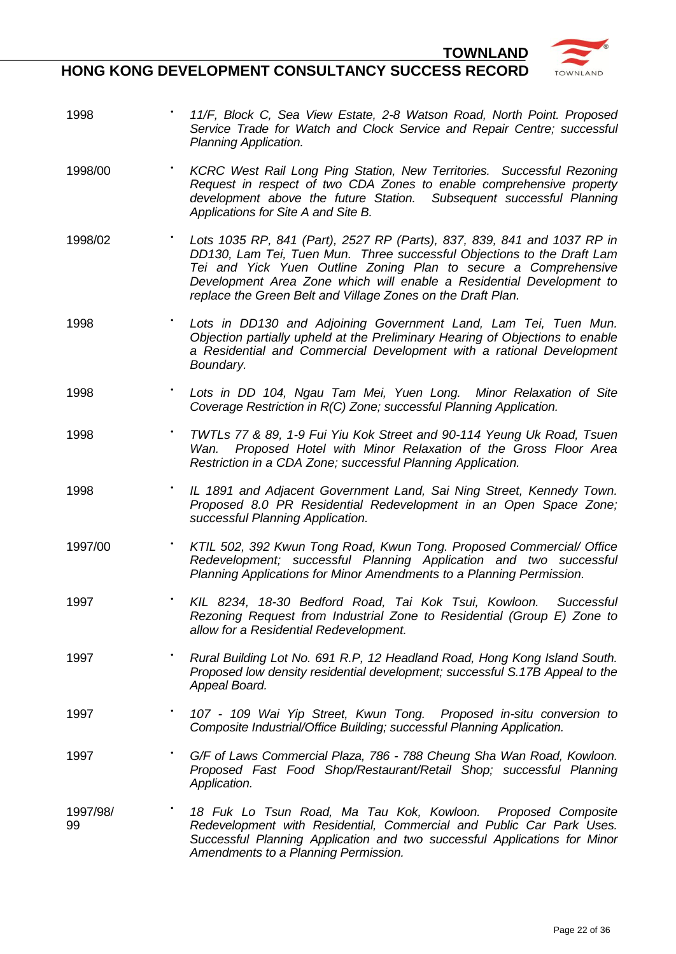



- 1998 **•** *11/F, Block C, Sea View Estate, 2-8 Watson Road, North Point. Proposed Service Trade for Watch and Clock Service and Repair Centre; successful Planning Application.*
- 1998/00 **•** *KCRC West Rail Long Ping Station, New Territories. Successful Rezoning Request in respect of two CDA Zones to enable comprehensive property development above the future Station. Subsequent successful Planning Applications for Site A and Site B.*
- 1998/02 **•** *Lots 1035 RP, 841 (Part), 2527 RP (Parts), 837, 839, 841 and 1037 RP in DD130, Lam Tei, Tuen Mun. Three successful Objections to the Draft Lam Tei and Yick Yuen Outline Zoning Plan to secure a Comprehensive Development Area Zone which will enable a Residential Development to replace the Green Belt and Village Zones on the Draft Plan.*
- 1998 **•** *Lots in DD130 and Adjoining Government Land, Lam Tei, Tuen Mun. Objection partially upheld at the Preliminary Hearing of Objections to enable a Residential and Commercial Development with a rational Development Boundary.*
- 1998 **•** *Lots in DD 104, Ngau Tam Mei, Yuen Long. Minor Relaxation of Site Coverage Restriction in R(C) Zone; successful Planning Application.*
- 1998 **•** *TWTLs 77 & 89, 1-9 Fui Yiu Kok Street and 90-114 Yeung Uk Road, Tsuen Wan. Proposed Hotel with Minor Relaxation of the Gross Floor Area Restriction in a CDA Zone; successful Planning Application.*
- 1998 **•** *IL 1891 and Adjacent Government Land, Sai Ning Street, Kennedy Town. Proposed 8.0 PR Residential Redevelopment in an Open Space Zone; successful Planning Application.*
- 1997/00 **•** *KTIL 502, 392 Kwun Tong Road, Kwun Tong. Proposed Commercial/ Office Redevelopment; successful Planning Application and two successful Planning Applications for Minor Amendments to a Planning Permission.*
- 1997 **•** *KIL 8234, 18-30 Bedford Road, Tai Kok Tsui, Kowloon. Successful Rezoning Request from Industrial Zone to Residential (Group E) Zone to allow for a Residential Redevelopment.*
- 1997 **•** *Rural Building Lot No. 691 R.P, 12 Headland Road, Hong Kong Island South. Proposed low density residential development; successful S.17B Appeal to the Appeal Board.*
- 1997 **•** *107 - 109 Wai Yip Street, Kwun Tong. Proposed in-situ conversion to Composite Industrial/Office Building; successful Planning Application.*
- 1997 **•** *G/F of Laws Commercial Plaza, 786 - 788 Cheung Sha Wan Road, Kowloon. Proposed Fast Food Shop/Restaurant/Retail Shop; successful Planning Application.*
- 1997/98/ 99 **•** *18 Fuk Lo Tsun Road, Ma Tau Kok, Kowloon. Proposed Composite Redevelopment with Residential, Commercial and Public Car Park Uses. Successful Planning Application and two successful Applications for Minor Amendments to a Planning Permission.*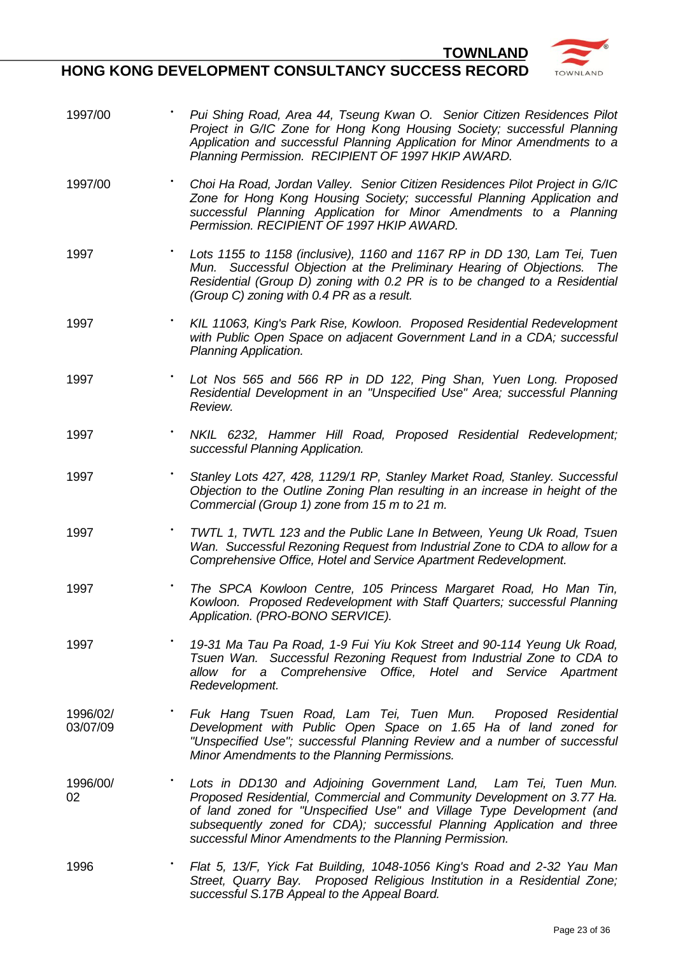



- 1997/00 **•** *Pui Shing Road, Area 44, Tseung Kwan O. Senior Citizen Residences Pilot Project in G/IC Zone for Hong Kong Housing Society; successful Planning Application and successful Planning Application for Minor Amendments to a Planning Permission. RECIPIENT OF 1997 HKIP AWARD.*
- 1997/00 **•** *Choi Ha Road, Jordan Valley. Senior Citizen Residences Pilot Project in G/IC Zone for Hong Kong Housing Society; successful Planning Application and successful Planning Application for Minor Amendments to a Planning Permission. RECIPIENT OF 1997 HKIP AWARD.*
- 1997 **•** *Lots 1155 to 1158 (inclusive), 1160 and 1167 RP in DD 130, Lam Tei, Tuen Mun. Successful Objection at the Preliminary Hearing of Objections. The Residential (Group D) zoning with 0.2 PR is to be changed to a Residential (Group C) zoning with 0.4 PR as a result.*
- 1997 **•** *KIL 11063, King's Park Rise, Kowloon. Proposed Residential Redevelopment with Public Open Space on adjacent Government Land in a CDA; successful Planning Application.*
- 1997 **•** *Lot Nos 565 and 566 RP in DD 122, Ping Shan, Yuen Long. Proposed Residential Development in an "Unspecified Use" Area; successful Planning Review.*
- 1997 **•** *NKIL 6232, Hammer Hill Road, Proposed Residential Redevelopment; successful Planning Application.*
- 1997 **•** *Stanley Lots 427, 428, 1129/1 RP, Stanley Market Road, Stanley. Successful Objection to the Outline Zoning Plan resulting in an increase in height of the Commercial (Group 1) zone from 15 m to 21 m.*
- 1997 **•** *TWTL 1, TWTL 123 and the Public Lane In Between, Yeung Uk Road, Tsuen Wan. Successful Rezoning Request from Industrial Zone to CDA to allow for a Comprehensive Office, Hotel and Service Apartment Redevelopment.*
- 1997 **•** *The SPCA Kowloon Centre, 105 Princess Margaret Road, Ho Man Tin, Kowloon. Proposed Redevelopment with Staff Quarters; successful Planning Application. (PRO-BONO SERVICE).*
- 1997 **•** *19-31 Ma Tau Pa Road, 1-9 Fui Yiu Kok Street and 90-114 Yeung Uk Road, Tsuen Wan. Successful Rezoning Request from Industrial Zone to CDA to allow for a Comprehensive Office, Hotel and Service Apartment Redevelopment.*
- 1996/02/ 03/07/09 **•** *Fuk Hang Tsuen Road, Lam Tei, Tuen Mun. Proposed Residential Development with Public Open Space on 1.65 Ha of land zoned for "Unspecified Use"; successful Planning Review and a number of successful Minor Amendments to the Planning Permissions.*
- 1996/00/ 02 **•** *Lots in DD130 and Adjoining Government Land, Lam Tei, Tuen Mun. Proposed Residential, Commercial and Community Development on 3.77 Ha. of land zoned for "Unspecified Use" and Village Type Development (and subsequently zoned for CDA); successful Planning Application and three successful Minor Amendments to the Planning Permission.*
- 1996 **•** *Flat 5, 13/F, Yick Fat Building, 1048-1056 King's Road and 2-32 Yau Man Street, Quarry Bay. Proposed Religious Institution in a Residential Zone; successful S.17B Appeal to the Appeal Board.*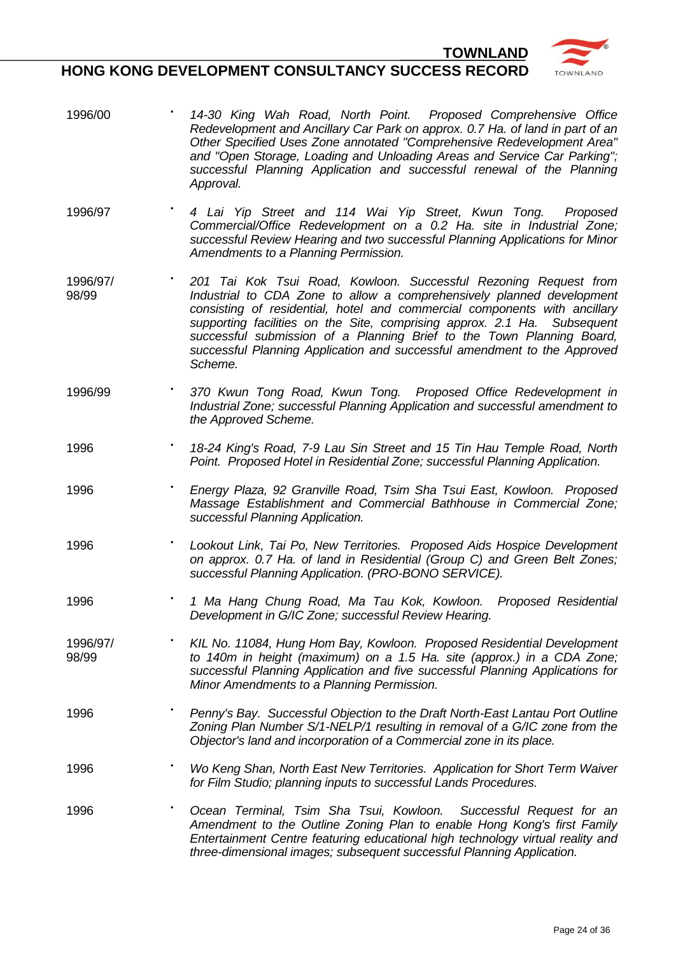

- 1996/00 **•** *14-30 King Wah Road, North Point. Proposed Comprehensive Office Redevelopment and Ancillary Car Park on approx. 0.7 Ha. of land in part of an Other Specified Uses Zone annotated "Comprehensive Redevelopment Area" and "Open Storage, Loading and Unloading Areas and Service Car Parking"; successful Planning Application and successful renewal of the Planning Approval.*
- 1996/97 **•** *4 Lai Yip Street and 114 Wai Yip Street, Kwun Tong. Proposed Commercial/Office Redevelopment on a 0.2 Ha. site in Industrial Zone; successful Review Hearing and two successful Planning Applications for Minor Amendments to a Planning Permission.*
- 1996/97/ 98/99 **•** *201 Tai Kok Tsui Road, Kowloon. Successful Rezoning Request from Industrial to CDA Zone to allow a comprehensively planned development consisting of residential, hotel and commercial components with ancillary supporting facilities on the Site, comprising approx. 2.1 Ha. Subsequent successful submission of a Planning Brief to the Town Planning Board, successful Planning Application and successful amendment to the Approved Scheme.*
- 1996/99 **•** *370 Kwun Tong Road, Kwun Tong. Proposed Office Redevelopment in Industrial Zone; successful Planning Application and successful amendment to the Approved Scheme.*
- 1996 **•** *18-24 King's Road, 7-9 Lau Sin Street and 15 Tin Hau Temple Road, North Point. Proposed Hotel in Residential Zone; successful Planning Application.*
- 1996 **•** *Energy Plaza, 92 Granville Road, Tsim Sha Tsui East, Kowloon. Proposed Massage Establishment and Commercial Bathhouse in Commercial Zone; successful Planning Application.*
- 1996 **•** *Lookout Link, Tai Po, New Territories. Proposed Aids Hospice Development on approx. 0.7 Ha. of land in Residential (Group C) and Green Belt Zones; successful Planning Application. (PRO-BONO SERVICE).*
- 1996 **•** *1 Ma Hang Chung Road, Ma Tau Kok, Kowloon. Proposed Residential Development in G/IC Zone; successful Review Hearing.*
- 1996/97/ 98/99 **•** *KIL No. 11084, Hung Hom Bay, Kowloon. Proposed Residential Development to 140m in height (maximum) on a 1.5 Ha. site (approx.) in a CDA Zone; successful Planning Application and five successful Planning Applications for Minor Amendments to a Planning Permission.*
- 1996 **•** *Penny's Bay. Successful Objection to the Draft North-East Lantau Port Outline Zoning Plan Number S/1-NELP/1 resulting in removal of a G/IC zone from the Objector's land and incorporation of a Commercial zone in its place.*
- 1996 **•** *Wo Keng Shan, North East New Territories. Application for Short Term Waiver for Film Studio; planning inputs to successful Lands Procedures.*
- 1996 **•** *Ocean Terminal, Tsim Sha Tsui, Kowloon. Successful Request for an Amendment to the Outline Zoning Plan to enable Hong Kong's first Family Entertainment Centre featuring educational high technology virtual reality and three-dimensional images; subsequent successful Planning Application.*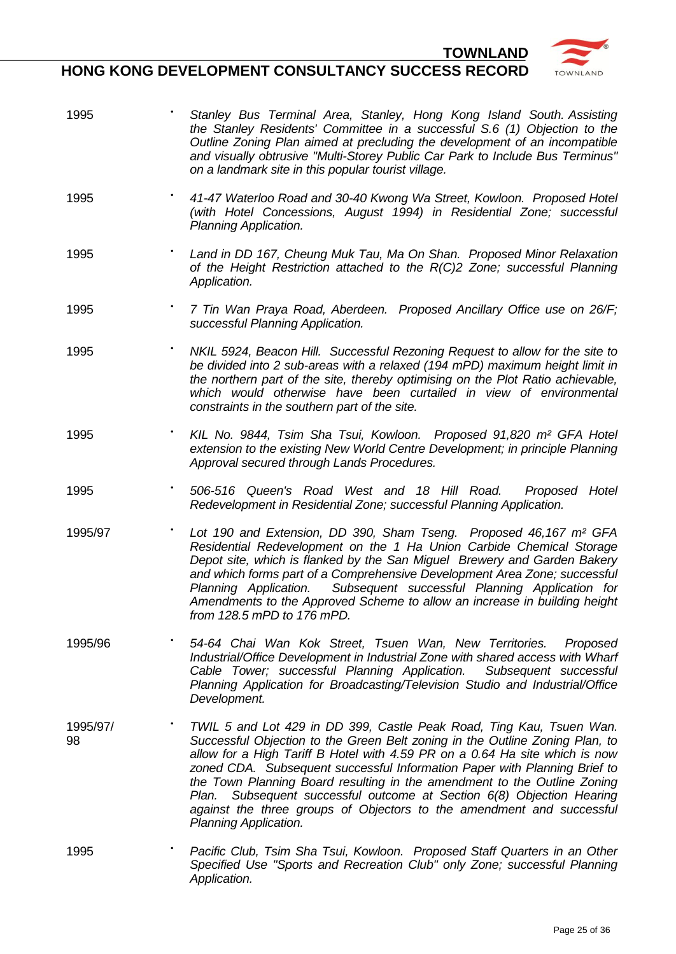

- 1995 **•** *Stanley Bus Terminal Area, Stanley, Hong Kong Island South. Assisting the Stanley Residents' Committee in a successful S.6 (1) Objection to the Outline Zoning Plan aimed at precluding the development of an incompatible and visually obtrusive "Multi-Storey Public Car Park to Include Bus Terminus" on a landmark site in this popular tourist village.*
- 1995 **•** *41-47 Waterloo Road and 30-40 Kwong Wa Street, Kowloon. Proposed Hotel (with Hotel Concessions, August 1994) in Residential Zone; successful Planning Application.*
- 1995 **•** *Land in DD 167, Cheung Muk Tau, Ma On Shan. Proposed Minor Relaxation of the Height Restriction attached to the R(C)2 Zone; successful Planning Application.*
- 1995 **•** *7 Tin Wan Praya Road, Aberdeen. Proposed Ancillary Office use on 26/F; successful Planning Application.*
- 1995 **•** *NKIL 5924, Beacon Hill. Successful Rezoning Request to allow for the site to be divided into 2 sub-areas with a relaxed (194 mPD) maximum height limit in the northern part of the site, thereby optimising on the Plot Ratio achievable, which would otherwise have been curtailed in view of environmental constraints in the southern part of the site.*
- 1995 **•** *KIL No. 9844, Tsim Sha Tsui, Kowloon. Proposed 91,820 m² GFA Hotel extension to the existing New World Centre Development; in principle Planning Approval secured through Lands Procedures.*
- 1995 **•** *506-516 Queen's Road West and 18 Hill Road. Proposed Hotel Redevelopment in Residential Zone; successful Planning Application.*
- 1995/97 **•** *Lot 190 and Extension, DD 390, Sham Tseng. Proposed 46,167 m² GFA Residential Redevelopment on the 1 Ha Union Carbide Chemical Storage Depot site, which is flanked by the San Miguel Brewery and Garden Bakery and which forms part of a Comprehensive Development Area Zone; successful Planning Application. Subsequent successful Planning Application for Amendments to the Approved Scheme to allow an increase in building height from 128.5 mPD to 176 mPD.*
- 1995/96 **•** *54-64 Chai Wan Kok Street, Tsuen Wan, New Territories. Proposed Industrial/Office Development in Industrial Zone with shared access with Wharf Cable Tower; successful Planning Application. Subsequent successful Planning Application for Broadcasting/Television Studio and Industrial/Office Development.*
- 1995/97/ 98 **•** *TWIL 5 and Lot 429 in DD 399, Castle Peak Road, Ting Kau, Tsuen Wan. Successful Objection to the Green Belt zoning in the Outline Zoning Plan, to allow for a High Tariff B Hotel with 4.59 PR on a 0.64 Ha site which is now zoned CDA. Subsequent successful Information Paper with Planning Brief to the Town Planning Board resulting in the amendment to the Outline Zoning Plan. Subsequent successful outcome at Section 6(8) Objection Hearing against the three groups of Objectors to the amendment and successful Planning Application.*
- 1995 **•** *Pacific Club, Tsim Sha Tsui, Kowloon. Proposed Staff Quarters in an Other Specified Use "Sports and Recreation Club" only Zone; successful Planning Application.*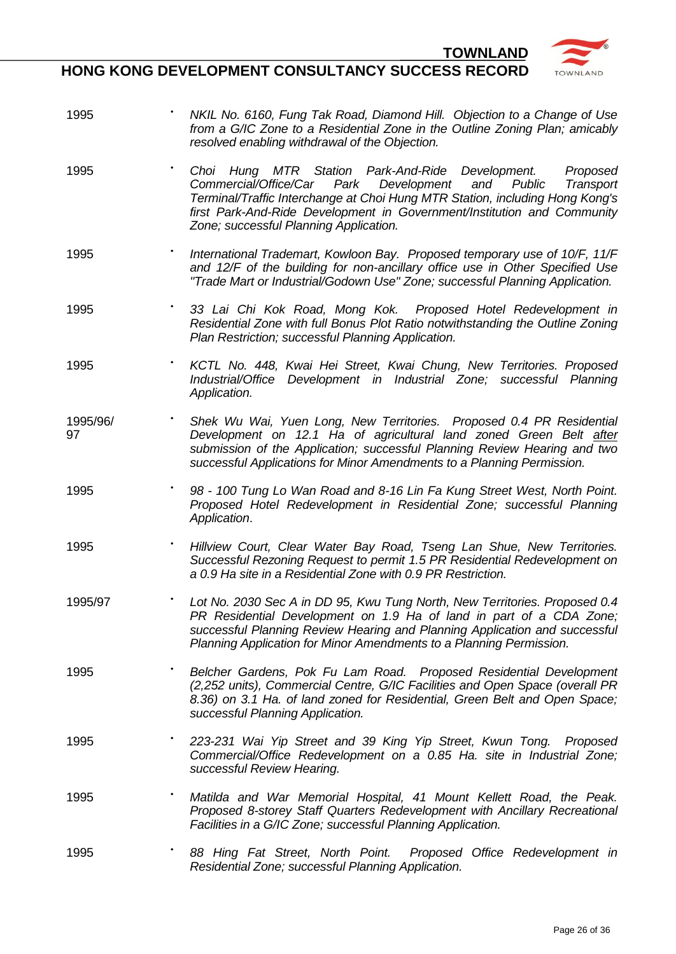

- 1995 **•** *NKIL No. 6160, Fung Tak Road, Diamond Hill. Objection to a Change of Use from a G/IC Zone to a Residential Zone in the Outline Zoning Plan; amicably resolved enabling withdrawal of the Objection.*
- 1995 **•** *Choi Hung MTR Station Park-And-Ride Development. Proposed Commercial/Office/Car Park Development and Public Transport Terminal/Traffic Interchange at Choi Hung MTR Station, including Hong Kong's first Park-And-Ride Development in Government/Institution and Community Zone; successful Planning Application.*
- 1995 **•** *International Trademart, Kowloon Bay. Proposed temporary use of 10/F, 11/F and 12/F of the building for non-ancillary office use in Other Specified Use "Trade Mart or Industrial/Godown Use" Zone; successful Planning Application.*
- 1995 **•** *33 Lai Chi Kok Road, Mong Kok. Proposed Hotel Redevelopment in Residential Zone with full Bonus Plot Ratio notwithstanding the Outline Zoning Plan Restriction; successful Planning Application.*
- 1995 **•** *KCTL No. 448, Kwai Hei Street, Kwai Chung, New Territories. Proposed Industrial/Office Development in Industrial Zone; successful Planning Application.*
- 1995/96/ 97 **•** *Shek Wu Wai, Yuen Long, New Territories. Proposed 0.4 PR Residential Development on 12.1 Ha of agricultural land zoned Green Belt after submission of the Application; successful Planning Review Hearing and two successful Applications for Minor Amendments to a Planning Permission.*
- 1995 **•** *98 - 100 Tung Lo Wan Road and 8-16 Lin Fa Kung Street West, North Point. Proposed Hotel Redevelopment in Residential Zone; successful Planning Application*.
- 1995 **•** *Hillview Court, Clear Water Bay Road, Tseng Lan Shue, New Territories. Successful Rezoning Request to permit 1.5 PR Residential Redevelopment on a 0.9 Ha site in a Residential Zone with 0.9 PR Restriction.*
- 1995/97 **•** *Lot No. 2030 Sec A in DD 95, Kwu Tung North, New Territories. Proposed 0.4 PR Residential Development on 1.9 Ha of land in part of a CDA Zone; successful Planning Review Hearing and Planning Application and successful Planning Application for Minor Amendments to a Planning Permission.*
- 1995 **•** *Belcher Gardens, Pok Fu Lam Road. Proposed Residential Development (2,252 units), Commercial Centre, G/IC Facilities and Open Space (overall PR 8.36) on 3.1 Ha. of land zoned for Residential, Green Belt and Open Space; successful Planning Application.*
- 1995 **•** *223-231 Wai Yip Street and 39 King Yip Street, Kwun Tong. Proposed Commercial/Office Redevelopment on a 0.85 Ha. site in Industrial Zone; successful Review Hearing.*
- 1995 **•** *Matilda and War Memorial Hospital, 41 Mount Kellett Road, the Peak. Proposed 8-storey Staff Quarters Redevelopment with Ancillary Recreational Facilities in a G/IC Zone; successful Planning Application.*
- 1995 **•** *88 Hing Fat Street, North Point. Proposed Office Redevelopment in Residential Zone; successful Planning Application.*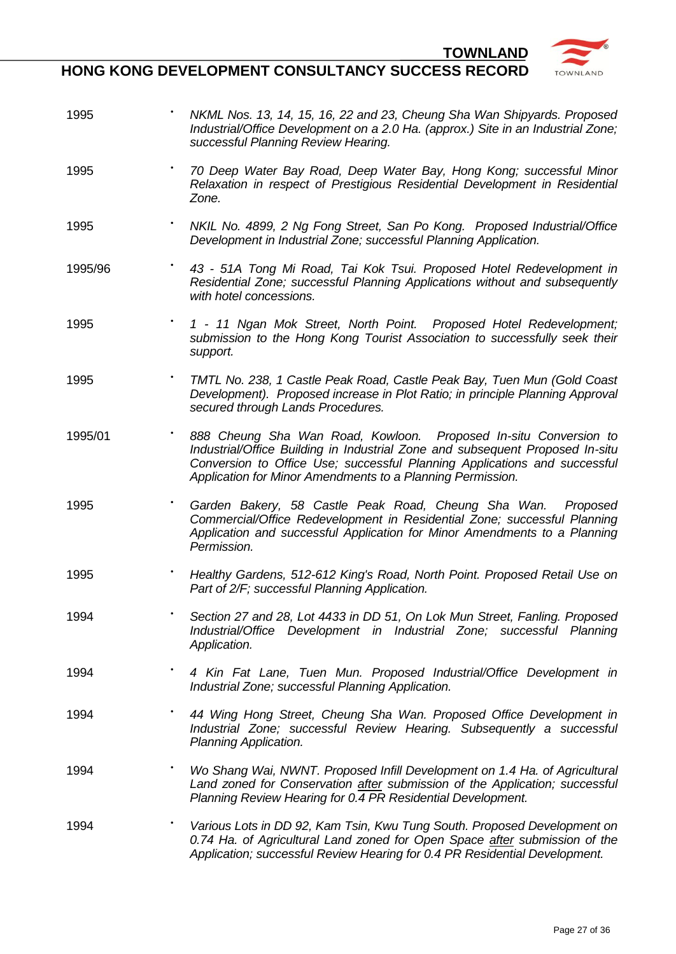TOWNLAND

| 1995    | NKML Nos. 13, 14, 15, 16, 22 and 23, Cheung Sha Wan Shipyards. Proposed<br>Industrial/Office Development on a 2.0 Ha. (approx.) Site in an Industrial Zone;<br>successful Planning Review Hearing.                                                                                           |
|---------|----------------------------------------------------------------------------------------------------------------------------------------------------------------------------------------------------------------------------------------------------------------------------------------------|
| 1995    | 70 Deep Water Bay Road, Deep Water Bay, Hong Kong; successful Minor<br>Relaxation in respect of Prestigious Residential Development in Residential<br>Zone.                                                                                                                                  |
| 1995    | NKIL No. 4899, 2 Ng Fong Street, San Po Kong. Proposed Industrial/Office<br>Development in Industrial Zone; successful Planning Application.                                                                                                                                                 |
| 1995/96 | 43 - 51A Tong Mi Road, Tai Kok Tsui. Proposed Hotel Redevelopment in<br>Residential Zone; successful Planning Applications without and subsequently<br>with hotel concessions.                                                                                                               |
| 1995    | 1 - 11 Ngan Mok Street, North Point. Proposed Hotel Redevelopment;<br>submission to the Hong Kong Tourist Association to successfully seek their<br>support.                                                                                                                                 |
| 1995    | TMTL No. 238, 1 Castle Peak Road, Castle Peak Bay, Tuen Mun (Gold Coast<br>Development). Proposed increase in Plot Ratio; in principle Planning Approval<br>secured through Lands Procedures.                                                                                                |
| 1995/01 | 888 Cheung Sha Wan Road, Kowloon. Proposed In-situ Conversion to<br>Industrial/Office Building in Industrial Zone and subsequent Proposed In-situ<br>Conversion to Office Use; successful Planning Applications and successful<br>Application for Minor Amendments to a Planning Permission. |
| 1995    | Garden Bakery, 58 Castle Peak Road, Cheung Sha Wan. Proposed<br>Commercial/Office Redevelopment in Residential Zone; successful Planning<br>Application and successful Application for Minor Amendments to a Planning<br>Permission.                                                         |
| 1995    | Healthy Gardens, 512-612 King's Road, North Point. Proposed Retail Use on<br>Part of 2/F; successful Planning Application.                                                                                                                                                                   |
| 1994    | Section 27 and 28, Lot 4433 in DD 51, On Lok Mun Street, Fanling. Proposed<br>Industrial/Office Development in Industrial Zone; successful Planning<br>Application.                                                                                                                          |
| 1994    | ٠<br>4 Kin Fat Lane, Tuen Mun. Proposed Industrial/Office Development in<br>Industrial Zone; successful Planning Application.                                                                                                                                                                |
| 1994    | 44 Wing Hong Street, Cheung Sha Wan. Proposed Office Development in<br>Industrial Zone; successful Review Hearing. Subsequently a successful<br>Planning Application.                                                                                                                        |
| 1994    | Wo Shang Wai, NWNT. Proposed Infill Development on 1.4 Ha. of Agricultural<br>Land zoned for Conservation after submission of the Application; successful<br>Planning Review Hearing for 0.4 PR Residential Development.                                                                     |
| 1994    | Various Lots in DD 92, Kam Tsin, Kwu Tung South. Proposed Development on<br>0.74 Ha. of Agricultural Land zoned for Open Space after submission of the<br>Application; successful Review Hearing for 0.4 PR Residential Development.                                                         |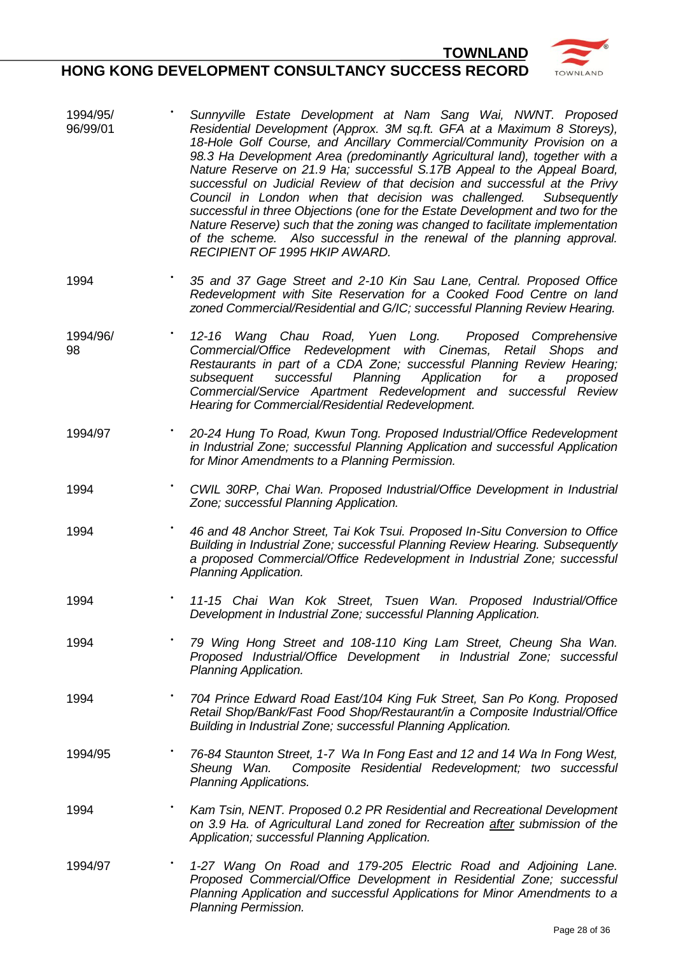

- 1994/95/ 96/99/01 **•** *Sunnyville Estate Development at Nam Sang Wai, NWNT. Proposed Residential Development (Approx. 3M sq.ft. GFA at a Maximum 8 Storeys), 18-Hole Golf Course, and Ancillary Commercial/Community Provision on a 98.3 Ha Development Area (predominantly Agricultural land), together with a Nature Reserve on 21.9 Ha; successful S.17B Appeal to the Appeal Board, successful on Judicial Review of that decision and successful at the Privy Council in London when that decision was challenged. Subsequently successful in three Objections (one for the Estate Development and two for the Nature Reserve) such that the zoning was changed to facilitate implementation of the scheme. Also successful in the renewal of the planning approval. RECIPIENT OF 1995 HKIP AWARD.*
- 1994 **•** *35 and 37 Gage Street and 2-10 Kin Sau Lane, Central. Proposed Office Redevelopment with Site Reservation for a Cooked Food Centre on land zoned Commercial/Residential and G/IC; successful Planning Review Hearing.*
- 1994/96/ 98 **•** *12-16 Wang Chau Road, Yuen Long. Proposed Comprehensive Commercial/Office Redevelopment with Cinemas, Retail Shops and Restaurants in part of a CDA Zone; successful Planning Review Hearing; subsequent successful Planning Application for a proposed Commercial/Service Apartment Redevelopment and successful Review Hearing for Commercial/Residential Redevelopment.*
- 1994/97 **•** *20-24 Hung To Road, Kwun Tong. Proposed Industrial/Office Redevelopment in Industrial Zone; successful Planning Application and successful Application for Minor Amendments to a Planning Permission.*
- 1994 **•** *CWIL 30RP, Chai Wan. Proposed Industrial/Office Development in Industrial Zone; successful Planning Application.*
- 1994 **•** *46 and 48 Anchor Street, Tai Kok Tsui. Proposed In-Situ Conversion to Office Building in Industrial Zone; successful Planning Review Hearing. Subsequently a proposed Commercial/Office Redevelopment in Industrial Zone; successful Planning Application.*
- 1994 **•** *11-15 Chai Wan Kok Street, Tsuen Wan. Proposed Industrial/Office Development in Industrial Zone; successful Planning Application.*
- 1994 **•** *79 Wing Hong Street and 108-110 King Lam Street, Cheung Sha Wan. Proposed Industrial/Office Development in Industrial Zone; successful Planning Application.*
- 1994 **•** *704 Prince Edward Road East/104 King Fuk Street, San Po Kong. Proposed Retail Shop/Bank/Fast Food Shop/Restaurant/in a Composite Industrial/Office Building in Industrial Zone; successful Planning Application.*
- 1994/95 **•** *76-84 Staunton Street, 1-7 Wa In Fong East and 12 and 14 Wa In Fong West, Sheung Wan. Composite Residential Redevelopment; two successful Planning Applications.*
- 1994 **•** *Kam Tsin, NENT. Proposed 0.2 PR Residential and Recreational Development on 3.9 Ha. of Agricultural Land zoned for Recreation after submission of the Application; successful Planning Application.*
- 1994/97 **•** *1-27 Wang On Road and 179-205 Electric Road and Adjoining Lane. Proposed Commercial/Office Development in Residential Zone; successful Planning Application and successful Applications for Minor Amendments to a Planning Permission.*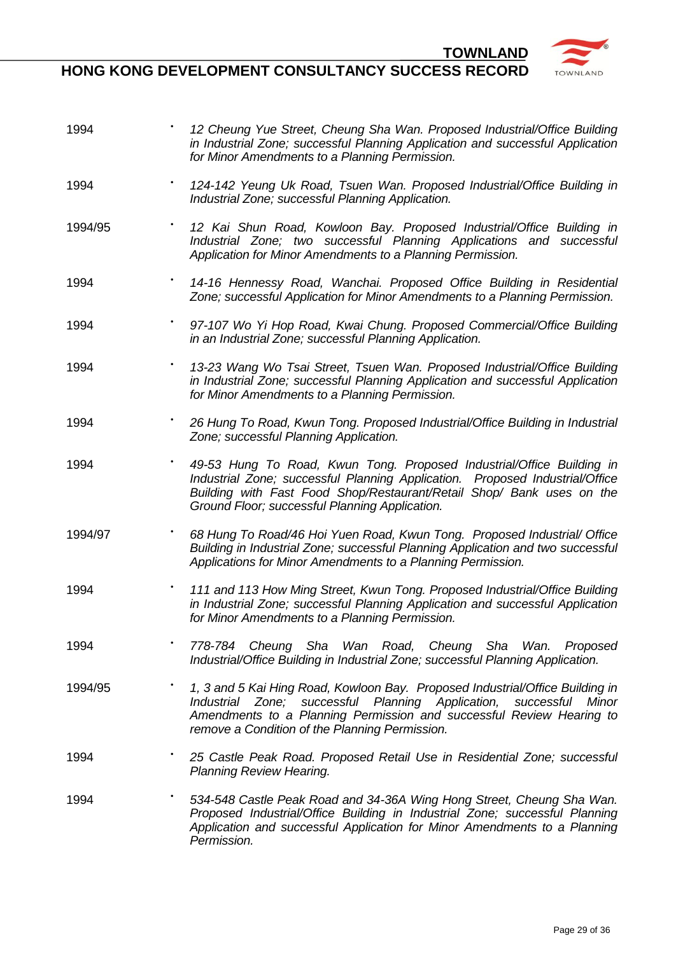**HONG KONG DEVELOPMENT CONSULTANCY SUCCESS RECORD**

**TOWNLAND** 



| 1994    | 12 Cheung Yue Street, Cheung Sha Wan. Proposed Industrial/Office Building<br>in Industrial Zone; successful Planning Application and successful Application<br>for Minor Amendments to a Planning Permission.                                                                    |
|---------|----------------------------------------------------------------------------------------------------------------------------------------------------------------------------------------------------------------------------------------------------------------------------------|
| 1994    | 124-142 Yeung Uk Road, Tsuen Wan. Proposed Industrial/Office Building in<br>Industrial Zone; successful Planning Application.                                                                                                                                                    |
| 1994/95 | 12 Kai Shun Road, Kowloon Bay. Proposed Industrial/Office Building in<br>Industrial Zone; two successful Planning Applications and successful<br>Application for Minor Amendments to a Planning Permission.                                                                      |
| 1994    | 14-16 Hennessy Road, Wanchai. Proposed Office Building in Residential<br>Zone; successful Application for Minor Amendments to a Planning Permission.                                                                                                                             |
| 1994    | 97-107 Wo Yi Hop Road, Kwai Chung. Proposed Commercial/Office Building<br>in an Industrial Zone; successful Planning Application.                                                                                                                                                |
| 1994    | 13-23 Wang Wo Tsai Street, Tsuen Wan. Proposed Industrial/Office Building<br>in Industrial Zone; successful Planning Application and successful Application<br>for Minor Amendments to a Planning Permission.                                                                    |
| 1994    | 26 Hung To Road, Kwun Tong. Proposed Industrial/Office Building in Industrial<br>Zone; successful Planning Application.                                                                                                                                                          |
| 1994    | 49-53 Hung To Road, Kwun Tong. Proposed Industrial/Office Building in<br>Industrial Zone; successful Planning Application. Proposed Industrial/Office<br>Building with Fast Food Shop/Restaurant/Retail Shop/ Bank uses on the<br>Ground Floor; successful Planning Application. |
| 1994/97 | 68 Hung To Road/46 Hoi Yuen Road, Kwun Tong. Proposed Industrial/ Office<br>Building in Industrial Zone; successful Planning Application and two successful<br>Applications for Minor Amendments to a Planning Permission.                                                       |
| 1994    | 111 and 113 How Ming Street, Kwun Tong. Proposed Industrial/Office Building<br>in Industrial Zone; successful Planning Application and successful Application<br>for Minor Amendments to a Planning Permission.                                                                  |
| 1994    | 778-784 Cheung Sha Wan Road, Cheung Sha Wan. Proposed<br>Industrial/Office Building in Industrial Zone; successful Planning Application.                                                                                                                                         |
| 1994/95 | 1, 3 and 5 Kai Hing Road, Kowloon Bay. Proposed Industrial/Office Building in<br>Industrial Zone; successful Planning Application, successful<br>Minor<br>Amendments to a Planning Permission and successful Review Hearing to<br>remove a Condition of the Planning Permission. |
| 1994    | 25 Castle Peak Road. Proposed Retail Use in Residential Zone; successful<br><b>Planning Review Hearing.</b>                                                                                                                                                                      |
| 1994    | 534-548 Castle Peak Road and 34-36A Wing Hong Street, Cheung Sha Wan.<br>Proposed Industrial/Office Building in Industrial Zone; successful Planning<br>Application and successful Application for Minor Amendments to a Planning<br>Permission.                                 |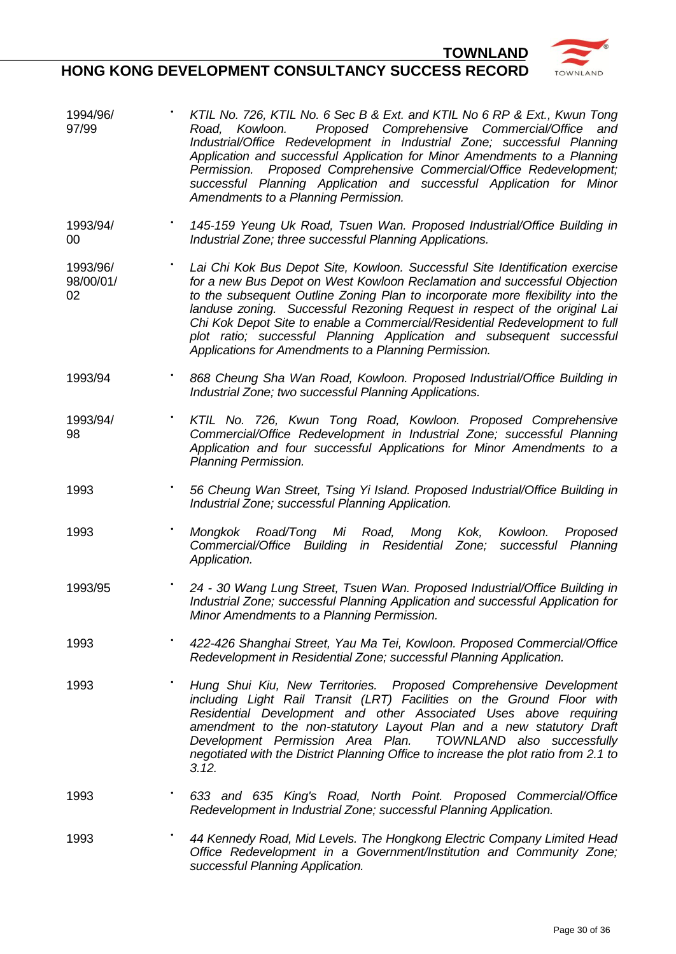

- 1994/96/ 97/99 **•** *KTIL No. 726, KTIL No. 6 Sec B & Ext. and KTIL No 6 RP & Ext., Kwun Tong Road, Kowloon. Proposed Comprehensive Commercial/Office and Industrial/Office Redevelopment in Industrial Zone; successful Planning Application and successful Application for Minor Amendments to a Planning Permission. Proposed Comprehensive Commercial/Office Redevelopment; successful Planning Application and successful Application for Minor Amendments to a Planning Permission.*
- 1993/94/  $0<sup>0</sup>$ **•** *145-159 Yeung Uk Road, Tsuen Wan. Proposed Industrial/Office Building in Industrial Zone; three successful Planning Applications.*
- 1993/96/ 98/00/01/ 02 **•** *Lai Chi Kok Bus Depot Site, Kowloon. Successful Site Identification exercise for a new Bus Depot on West Kowloon Reclamation and successful Objection to the subsequent Outline Zoning Plan to incorporate more flexibility into the landuse zoning. Successful Rezoning Request in respect of the original Lai Chi Kok Depot Site to enable a Commercial/Residential Redevelopment to full plot ratio; successful Planning Application and subsequent successful Applications for Amendments to a Planning Permission.*
- 1993/94 **•** *868 Cheung Sha Wan Road, Kowloon. Proposed Industrial/Office Building in Industrial Zone; two successful Planning Applications.*
- 1993/94/ 98 **•** *KTIL No. 726, Kwun Tong Road, Kowloon. Proposed Comprehensive Commercial/Office Redevelopment in Industrial Zone; successful Planning Application and four successful Applications for Minor Amendments to a Planning Permission.*
- 1993 **•** *56 Cheung Wan Street, Tsing Yi Island. Proposed Industrial/Office Building in Industrial Zone; successful Planning Application.*
- 1993 **•** *Mongkok Road/Tong Mi Road, Mong Kok, Kowloon. Proposed Commercial/Office Building in Residential Zone; successful Planning Application.*
- 1993/95 **•** *24 - 30 Wang Lung Street, Tsuen Wan. Proposed Industrial/Office Building in Industrial Zone; successful Planning Application and successful Application for Minor Amendments to a Planning Permission.*
- 1993 **•** *422-426 Shanghai Street, Yau Ma Tei, Kowloon. Proposed Commercial/Office Redevelopment in Residential Zone; successful Planning Application.*
- 1993 **•** *Hung Shui Kiu, New Territories. Proposed Comprehensive Development including Light Rail Transit (LRT) Facilities on the Ground Floor with Residential Development and other Associated Uses above requiring amendment to the non-statutory Layout Plan and a new statutory Draft Development Permission Area Plan. TOWNLAND also successfully negotiated with the District Planning Office to increase the plot ratio from 2.1 to 3.12.*
- 1993 **•** *633 and 635 King's Road, North Point. Proposed Commercial/Office Redevelopment in Industrial Zone; successful Planning Application.*
- 1993 **•** *44 Kennedy Road, Mid Levels. The Hongkong Electric Company Limited Head Office Redevelopment in a Government/Institution and Community Zone; successful Planning Application.*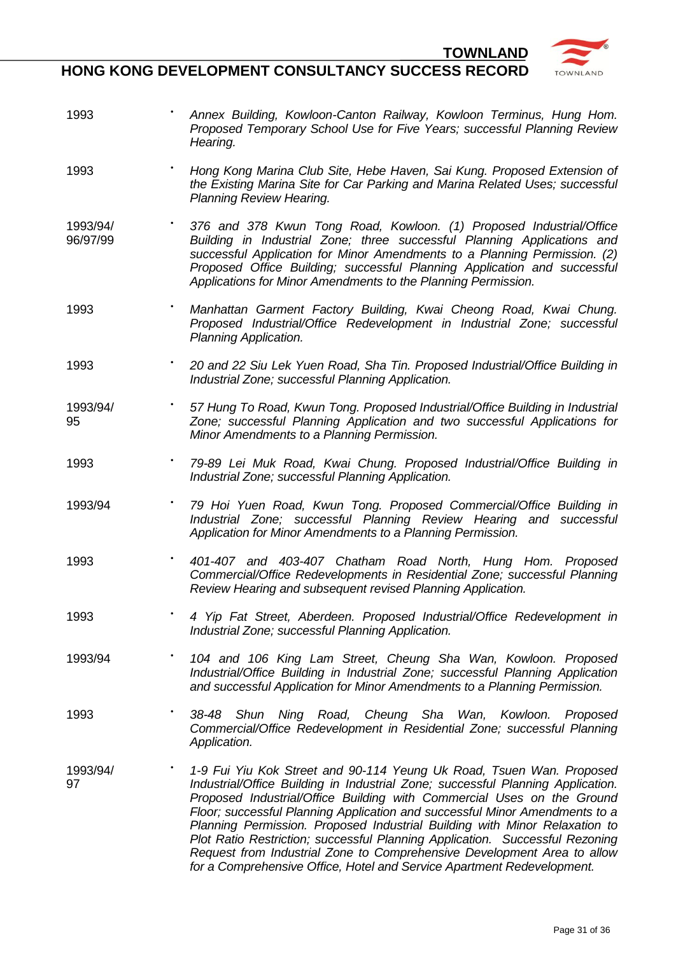

- 1993 **•** *Annex Building, Kowloon-Canton Railway, Kowloon Terminus, Hung Hom. Proposed Temporary School Use for Five Years; successful Planning Review Hearing.*
- 1993 **•** *Hong Kong Marina Club Site, Hebe Haven, Sai Kung. Proposed Extension of the Existing Marina Site for Car Parking and Marina Related Uses; successful Planning Review Hearing.*
- 1993/94/ 96/97/99 **•** *376 and 378 Kwun Tong Road, Kowloon. (1) Proposed Industrial/Office Building in Industrial Zone; three successful Planning Applications and successful Application for Minor Amendments to a Planning Permission. (2) Proposed Office Building; successful Planning Application and successful Applications for Minor Amendments to the Planning Permission.*
- 1993 **•** *Manhattan Garment Factory Building, Kwai Cheong Road, Kwai Chung. Proposed Industrial/Office Redevelopment in Industrial Zone; successful Planning Application.*
- 1993 **•** *20 and 22 Siu Lek Yuen Road, Sha Tin. Proposed Industrial/Office Building in Industrial Zone; successful Planning Application.*
- 1993/94/ 95 **•** *57 Hung To Road, Kwun Tong. Proposed Industrial/Office Building in Industrial Zone; successful Planning Application and two successful Applications for Minor Amendments to a Planning Permission.*
- 1993 **•** *79-89 Lei Muk Road, Kwai Chung. Proposed Industrial/Office Building in Industrial Zone; successful Planning Application.*
- 1993/94 **•** *79 Hoi Yuen Road, Kwun Tong. Proposed Commercial/Office Building in Industrial Zone; successful Planning Review Hearing and successful Application for Minor Amendments to a Planning Permission.*
- 1993 **•** *401-407 and 403-407 Chatham Road North, Hung Hom. Proposed Commercial/Office Redevelopments in Residential Zone; successful Planning Review Hearing and subsequent revised Planning Application.*
- 1993 **•** *4 Yip Fat Street, Aberdeen. Proposed Industrial/Office Redevelopment in Industrial Zone; successful Planning Application.*
- 1993/94 **•** *104 and 106 King Lam Street, Cheung Sha Wan, Kowloon. Proposed Industrial/Office Building in Industrial Zone; successful Planning Application and successful Application for Minor Amendments to a Planning Permission.*
- 1993 **•** *38-48 Shun Ning Road, Cheung Sha Wan, Kowloon. Proposed Commercial/Office Redevelopment in Residential Zone; successful Planning Application.*
- 1993/94/ 97 **•** *1-9 Fui Yiu Kok Street and 90-114 Yeung Uk Road, Tsuen Wan. Proposed Industrial/Office Building in Industrial Zone; successful Planning Application. Proposed Industrial/Office Building with Commercial Uses on the Ground Floor; successful Planning Application and successful Minor Amendments to a Planning Permission. Proposed Industrial Building with Minor Relaxation to Plot Ratio Restriction; successful Planning Application. Successful Rezoning Request from Industrial Zone to Comprehensive Development Area to allow for a Comprehensive Office, Hotel and Service Apartment Redevelopment.*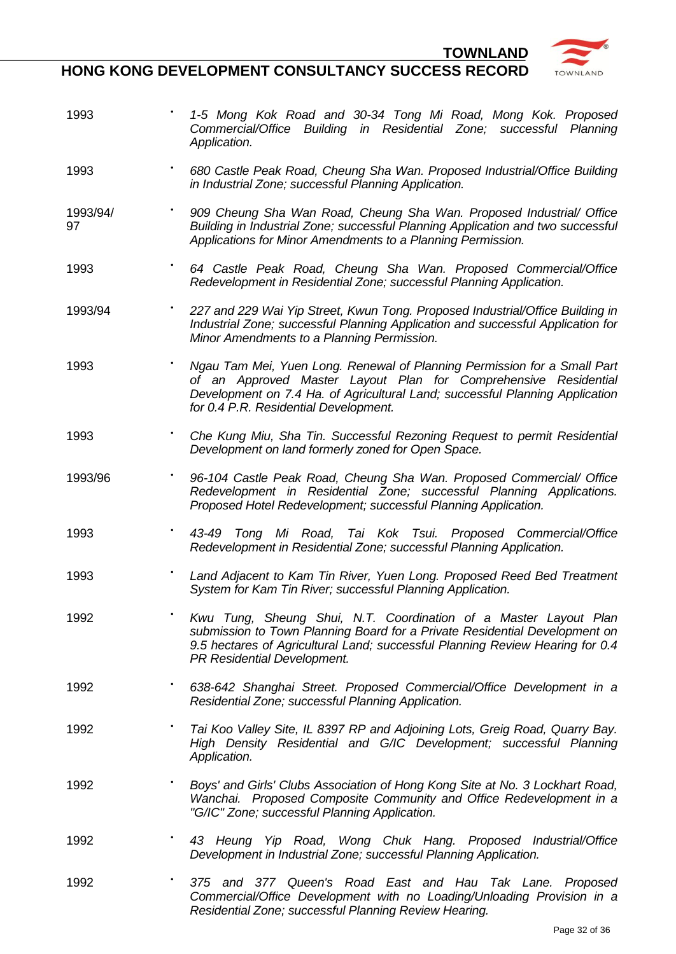**HONG KONG DEVELOPMENT CONSULTANCY SUCCESS RECORD**

1993 **•** *1-5 Mong Kok Road and 30-34 Tong Mi Road, Mong Kok. Proposed Commercial/Office Building in Residential Zone; successful Planning Application.* 1993 **•** *680 Castle Peak Road, Cheung Sha Wan. Proposed Industrial/Office Building in Industrial Zone; successful Planning Application.* 1993/94/ 97 **•** *909 Cheung Sha Wan Road, Cheung Sha Wan. Proposed Industrial/ Office Building in Industrial Zone; successful Planning Application and two successful Applications for Minor Amendments to a Planning Permission.* 1993 **•** *64 Castle Peak Road, Cheung Sha Wan. Proposed Commercial/Office Redevelopment in Residential Zone; successful Planning Application.* 1993/94 **•** *227 and 229 Wai Yip Street, Kwun Tong. Proposed Industrial/Office Building in Industrial Zone; successful Planning Application and successful Application for Minor Amendments to a Planning Permission.* 1993 **•** *Ngau Tam Mei, Yuen Long. Renewal of Planning Permission for a Small Part of an Approved Master Layout Plan for Comprehensive Residential Development on 7.4 Ha. of Agricultural Land; successful Planning Application for 0.4 P.R. Residential Development.* 1993 **•** *Che Kung Miu, Sha Tin. Successful Rezoning Request to permit Residential Development on land formerly zoned for Open Space.* 1993/96 **•** *96-104 Castle Peak Road, Cheung Sha Wan. Proposed Commercial/ Office Redevelopment in Residential Zone; successful Planning Applications. Proposed Hotel Redevelopment; successful Planning Application.* 1993 **•** *43-49 Tong Mi Road, Tai Kok Tsui. Proposed Commercial/Office Redevelopment in Residential Zone; successful Planning Application.* 1993 **•** *Land Adjacent to Kam Tin River, Yuen Long. Proposed Reed Bed Treatment System for Kam Tin River; successful Planning Application.* 1992 **•** *Kwu Tung, Sheung Shui, N.T. Coordination of a Master Layout Plan submission to Town Planning Board for a Private Residential Development on 9.5 hectares of Agricultural Land; successful Planning Review Hearing for 0.4 PR Residential Development.* 1992 **•** *638-642 Shanghai Street. Proposed Commercial/Office Development in a Residential Zone; successful Planning Application.* 1992 **•** *Tai Koo Valley Site, IL 8397 RP and Adjoining Lots, Greig Road, Quarry Bay. High Density Residential and G/IC Development; successful Planning Application.* 1992 **•** *Boys' and Girls' Clubs Association of Hong Kong Site at No. 3 Lockhart Road, Wanchai. Proposed Composite Community and Office Redevelopment in a "G/IC" Zone; successful Planning Application.* 1992 **•** *43 Heung Yip Road, Wong Chuk Hang. Proposed Industrial/Office Development in Industrial Zone; successful Planning Application.* 1992 **•** *375 and 377 Queen's Road East and Hau Tak Lane. Proposed Commercial/Office Development with no Loading/Unloading Provision in a Residential Zone; successful Planning Review Hearing.*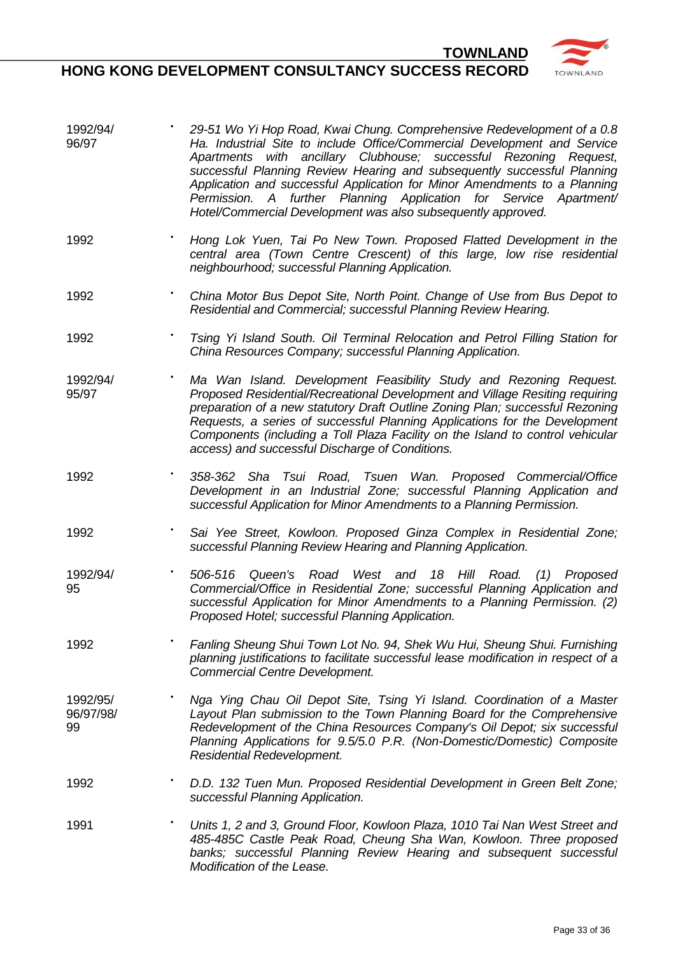- 1992/94/ 96/97 **•** *29-51 Wo Yi Hop Road, Kwai Chung. Comprehensive Redevelopment of a 0.8 Ha. Industrial Site to include Office/Commercial Development and Service Apartments with ancillary Clubhouse; successful Rezoning Request, successful Planning Review Hearing and subsequently successful Planning Application and successful Application for Minor Amendments to a Planning Permission. A further Planning Application for Service Apartment/ Hotel/Commercial Development was also subsequently approved.*
- 1992 **•** *Hong Lok Yuen, Tai Po New Town. Proposed Flatted Development in the central area (Town Centre Crescent) of this large, low rise residential neighbourhood; successful Planning Application.*
- 1992 **•** *China Motor Bus Depot Site, North Point. Change of Use from Bus Depot to Residential and Commercial; successful Planning Review Hearing.*
- 1992 **•** *Tsing Yi Island South. Oil Terminal Relocation and Petrol Filling Station for China Resources Company; successful Planning Application.*
- 1992/94/ 95/97 **•** *Ma Wan Island. Development Feasibility Study and Rezoning Request. Proposed Residential/Recreational Development and Village Resiting requiring preparation of a new statutory Draft Outline Zoning Plan; successful Rezoning Requests, a series of successful Planning Applications for the Development Components (including a Toll Plaza Facility on the Island to control vehicular access) and successful Discharge of Conditions.*
- 1992 **•** *358-362 Sha Tsui Road, Tsuen Wan. Proposed Commercial/Office Development in an Industrial Zone; successful Planning Application and successful Application for Minor Amendments to a Planning Permission.*
- 1992 **•** *Sai Yee Street, Kowloon. Proposed Ginza Complex in Residential Zone; successful Planning Review Hearing and Planning Application.*
- 1992/94/ 95 **•** *506-516 Queen's Road West and 18 Hill Road. (1) Proposed Commercial/Office in Residential Zone; successful Planning Application and successful Application for Minor Amendments to a Planning Permission. (2) Proposed Hotel; successful Planning Application.*
- 1992 **•** *Fanling Sheung Shui Town Lot No. 94, Shek Wu Hui, Sheung Shui. Furnishing planning justifications to facilitate successful lease modification in respect of a Commercial Centre Development.*
- 1992/95/ 96/97/98/ 99 **•** *Nga Ying Chau Oil Depot Site, Tsing Yi Island. Coordination of a Master Layout Plan submission to the Town Planning Board for the Comprehensive Redevelopment of the China Resources Company's Oil Depot; six successful Planning Applications for 9.5/5.0 P.R. (Non-Domestic/Domestic) Composite Residential Redevelopment.*
- 1992 **•** *D.D. 132 Tuen Mun. Proposed Residential Development in Green Belt Zone; successful Planning Application.*
- 1991 **•** *Units 1, 2 and 3, Ground Floor, Kowloon Plaza, 1010 Tai Nan West Street and 485-485C Castle Peak Road, Cheung Sha Wan, Kowloon. Three proposed banks; successful Planning Review Hearing and subsequent successful Modification of the Lease.*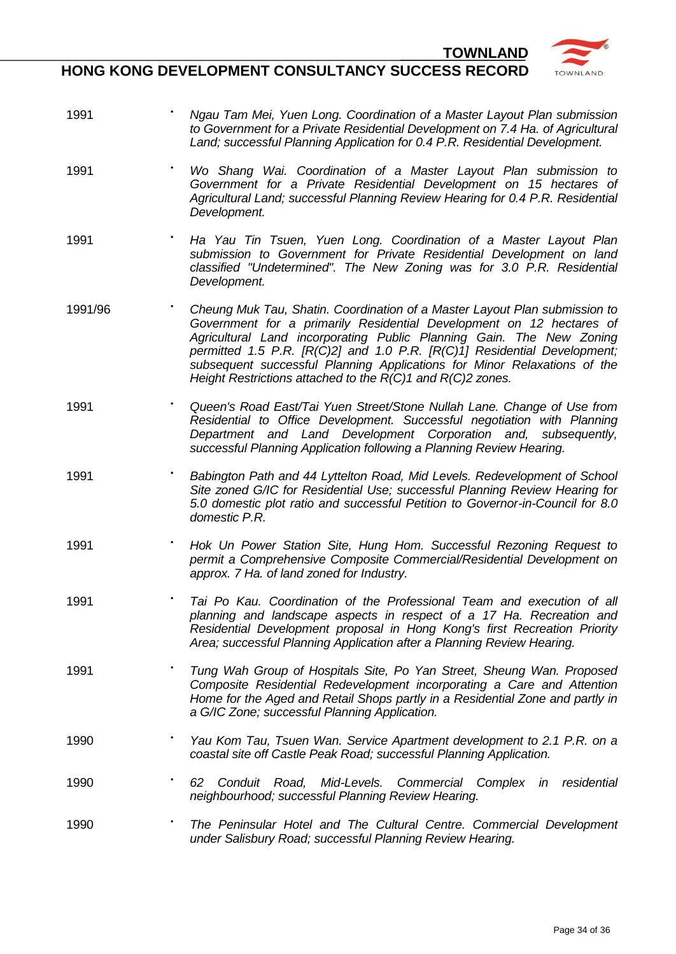

- 1991 **•** *Ngau Tam Mei, Yuen Long. Coordination of a Master Layout Plan submission to Government for a Private Residential Development on 7.4 Ha. of Agricultural Land; successful Planning Application for 0.4 P.R. Residential Development.*
- 1991 **•** *Wo Shang Wai. Coordination of a Master Layout Plan submission to Government for a Private Residential Development on 15 hectares of Agricultural Land; successful Planning Review Hearing for 0.4 P.R. Residential Development.*
- 1991 **•** *Ha Yau Tin Tsuen, Yuen Long. Coordination of a Master Layout Plan submission to Government for Private Residential Development on land classified "Undetermined". The New Zoning was for 3.0 P.R. Residential Development.*
- 1991/96 **•** *Cheung Muk Tau, Shatin. Coordination of a Master Layout Plan submission to Government for a primarily Residential Development on 12 hectares of Agricultural Land incorporating Public Planning Gain. The New Zoning permitted 1.5 P.R. [R(C)2] and 1.0 P.R. [R(C)1] Residential Development; subsequent successful Planning Applications for Minor Relaxations of the Height Restrictions attached to the R(C)1 and R(C)2 zones.*
- 1991 **•** *Queen's Road East/Tai Yuen Street/Stone Nullah Lane. Change of Use from Residential to Office Development. Successful negotiation with Planning Department and Land Development Corporation and, subsequently, successful Planning Application following a Planning Review Hearing.*
- 1991 **•** *Babington Path and 44 Lyttelton Road, Mid Levels. Redevelopment of School Site zoned G/IC for Residential Use; successful Planning Review Hearing for 5.0 domestic plot ratio and successful Petition to Governor-in-Council for 8.0 domestic P.R.*
- 1991 **•** *Hok Un Power Station Site, Hung Hom. Successful Rezoning Request to permit a Comprehensive Composite Commercial/Residential Development on approx. 7 Ha. of land zoned for Industry.*
- 1991 **•** *Tai Po Kau. Coordination of the Professional Team and execution of all planning and landscape aspects in respect of a 17 Ha. Recreation and Residential Development proposal in Hong Kong's first Recreation Priority Area; successful Planning Application after a Planning Review Hearing.*
- 1991 **•** *Tung Wah Group of Hospitals Site, Po Yan Street, Sheung Wan. Proposed Composite Residential Redevelopment incorporating a Care and Attention Home for the Aged and Retail Shops partly in a Residential Zone and partly in a G/IC Zone; successful Planning Application.*
- 1990 **•** *Yau Kom Tau, Tsuen Wan. Service Apartment development to 2.1 P.R. on a coastal site off Castle Peak Road; successful Planning Application.*
- 1990 **•** *62 Conduit Road, Mid-Levels. Commercial Complex in residential neighbourhood; successful Planning Review Hearing.*
- 1990 **•** *The Peninsular Hotel and The Cultural Centre. Commercial Development under Salisbury Road; successful Planning Review Hearing.*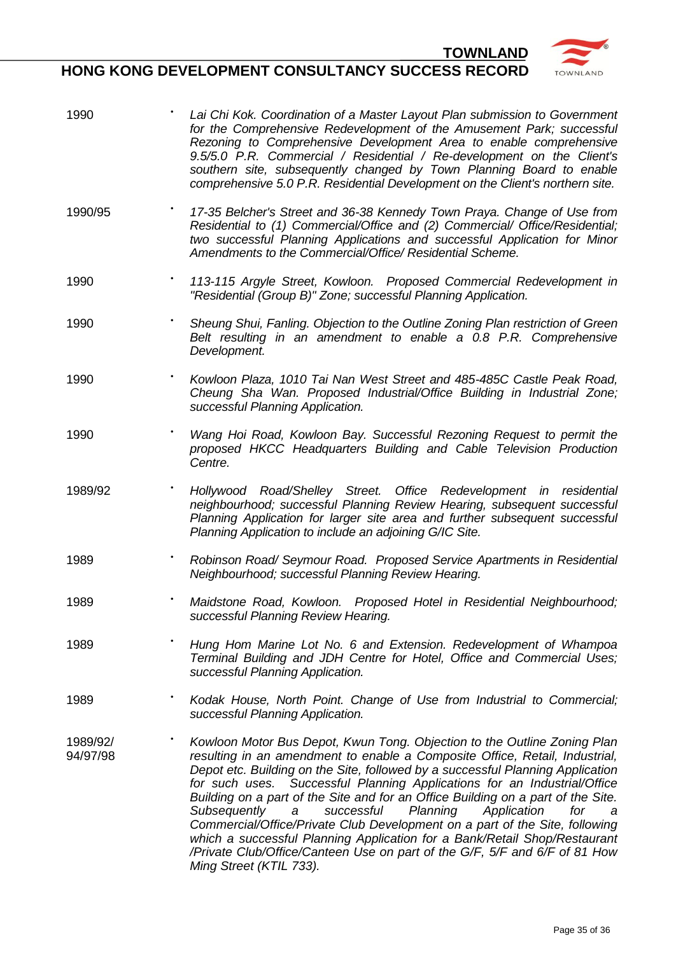

| 1990                 | Lai Chi Kok. Coordination of a Master Layout Plan submission to Government<br>for the Comprehensive Redevelopment of the Amusement Park; successful<br>Rezoning to Comprehensive Development Area to enable comprehensive<br>9.5/5.0 P.R. Commercial / Residential / Re-development on the Client's<br>southern site, subsequently changed by Town Planning Board to enable<br>comprehensive 5.0 P.R. Residential Development on the Client's northern site.                                                                                                                                                                                                                                                                                             |
|----------------------|----------------------------------------------------------------------------------------------------------------------------------------------------------------------------------------------------------------------------------------------------------------------------------------------------------------------------------------------------------------------------------------------------------------------------------------------------------------------------------------------------------------------------------------------------------------------------------------------------------------------------------------------------------------------------------------------------------------------------------------------------------|
| 1990/95              | 17-35 Belcher's Street and 36-38 Kennedy Town Praya. Change of Use from<br>Residential to (1) Commercial/Office and (2) Commercial/ Office/Residential;<br>two successful Planning Applications and successful Application for Minor<br>Amendments to the Commercial/Office/ Residential Scheme.                                                                                                                                                                                                                                                                                                                                                                                                                                                         |
| 1990                 | 113-115 Argyle Street, Kowloon. Proposed Commercial Redevelopment in<br>"Residential (Group B)" Zone; successful Planning Application.                                                                                                                                                                                                                                                                                                                                                                                                                                                                                                                                                                                                                   |
| 1990                 | Sheung Shui, Fanling. Objection to the Outline Zoning Plan restriction of Green<br>Belt resulting in an amendment to enable a 0.8 P.R. Comprehensive<br>Development.                                                                                                                                                                                                                                                                                                                                                                                                                                                                                                                                                                                     |
| 1990                 | Kowloon Plaza, 1010 Tai Nan West Street and 485-485C Castle Peak Road,<br>Cheung Sha Wan. Proposed Industrial/Office Building in Industrial Zone;<br>successful Planning Application.                                                                                                                                                                                                                                                                                                                                                                                                                                                                                                                                                                    |
| 1990                 | Wang Hoi Road, Kowloon Bay. Successful Rezoning Request to permit the<br>proposed HKCC Headquarters Building and Cable Television Production<br>Centre.                                                                                                                                                                                                                                                                                                                                                                                                                                                                                                                                                                                                  |
| 1989/92              | Hollywood Road/Shelley Street. Office Redevelopment in residential<br>neighbourhood; successful Planning Review Hearing, subsequent successful<br>Planning Application for larger site area and further subsequent successful<br>Planning Application to include an adjoining G/IC Site.                                                                                                                                                                                                                                                                                                                                                                                                                                                                 |
| 1989                 | Robinson Road/ Seymour Road. Proposed Service Apartments in Residential<br>Neighbourhood; successful Planning Review Hearing.                                                                                                                                                                                                                                                                                                                                                                                                                                                                                                                                                                                                                            |
| 1989                 | Proposed Hotel in Residential Neighbourhood;<br>Maidstone Road, Kowloon.<br>successful Planning Review Hearing.                                                                                                                                                                                                                                                                                                                                                                                                                                                                                                                                                                                                                                          |
| 1989                 | Hung Hom Marine Lot No. 6 and Extension. Redevelopment of Whampoa<br>Terminal Building and JDH Centre for Hotel, Office and Commercial Uses;<br>successful Planning Application.                                                                                                                                                                                                                                                                                                                                                                                                                                                                                                                                                                         |
| 1989                 | Kodak House, North Point. Change of Use from Industrial to Commercial;<br>successful Planning Application.                                                                                                                                                                                                                                                                                                                                                                                                                                                                                                                                                                                                                                               |
| 1989/92/<br>94/97/98 | Kowloon Motor Bus Depot, Kwun Tong. Objection to the Outline Zoning Plan<br>resulting in an amendment to enable a Composite Office, Retail, Industrial,<br>Depot etc. Building on the Site, followed by a successful Planning Application<br>for such uses. Successful Planning Applications for an Industrial/Office<br>Building on a part of the Site and for an Office Building on a part of the Site.<br>successful<br>Planning<br>Application<br>Subsequently<br>for<br>a<br>a<br>Commercial/Office/Private Club Development on a part of the Site, following<br>which a successful Planning Application for a Bank/Retail Shop/Restaurant<br>/Private Club/Office/Canteen Use on part of the G/F, 5/F and 6/F of 81 How<br>Ming Street (KTIL 733). |